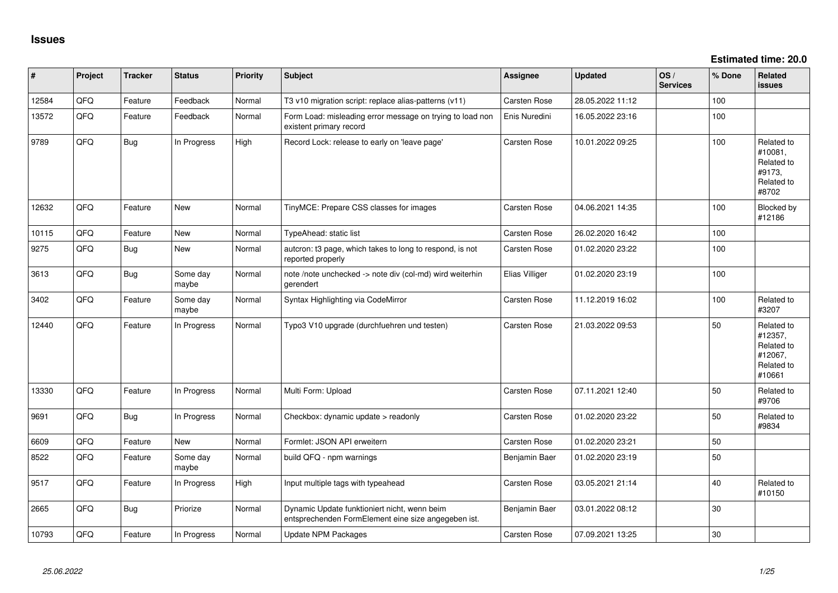**Estimated time: 20.0**

| ∦     | Project | <b>Tracker</b> | <b>Status</b>     | <b>Priority</b> | <b>Subject</b>                                                                                      | <b>Assignee</b>     | Updated          | OS/<br><b>Services</b> | % Done | Related<br><b>issues</b>                                               |
|-------|---------|----------------|-------------------|-----------------|-----------------------------------------------------------------------------------------------------|---------------------|------------------|------------------------|--------|------------------------------------------------------------------------|
| 12584 | QFQ     | Feature        | Feedback          | Normal          | T3 v10 migration script: replace alias-patterns (v11)                                               | <b>Carsten Rose</b> | 28.05.2022 11:12 |                        | 100    |                                                                        |
| 13572 | QFQ     | Feature        | Feedback          | Normal          | Form Load: misleading error message on trying to load non<br>existent primary record                | Enis Nuredini       | 16.05.2022 23:16 |                        | 100    |                                                                        |
| 9789  | QFQ     | <b>Bug</b>     | In Progress       | High            | Record Lock: release to early on 'leave page'                                                       | <b>Carsten Rose</b> | 10.01.2022 09:25 |                        | 100    | Related to<br>#10081,<br>Related to<br>#9173,<br>Related to<br>#8702   |
| 12632 | QFQ     | Feature        | New               | Normal          | TinyMCE: Prepare CSS classes for images                                                             | <b>Carsten Rose</b> | 04.06.2021 14:35 |                        | 100    | Blocked by<br>#12186                                                   |
| 10115 | QFQ     | Feature        | <b>New</b>        | Normal          | TypeAhead: static list                                                                              | Carsten Rose        | 26.02.2020 16:42 |                        | 100    |                                                                        |
| 9275  | QFQ     | <b>Bug</b>     | New               | Normal          | autcron: t3 page, which takes to long to respond, is not<br>reported properly                       | <b>Carsten Rose</b> | 01.02.2020 23:22 |                        | 100    |                                                                        |
| 3613  | QFQ     | <b>Bug</b>     | Some day<br>maybe | Normal          | note /note unchecked -> note div (col-md) wird weiterhin<br>gerendert                               | Elias Villiger      | 01.02.2020 23:19 |                        | 100    |                                                                        |
| 3402  | QFQ     | Feature        | Some day<br>maybe | Normal          | Syntax Highlighting via CodeMirror                                                                  | <b>Carsten Rose</b> | 11.12.2019 16:02 |                        | 100    | Related to<br>#3207                                                    |
| 12440 | QFQ     | Feature        | In Progress       | Normal          | Typo3 V10 upgrade (durchfuehren und testen)                                                         | Carsten Rose        | 21.03.2022 09:53 |                        | 50     | Related to<br>#12357,<br>Related to<br>#12067,<br>Related to<br>#10661 |
| 13330 | QFQ     | Feature        | In Progress       | Normal          | Multi Form: Upload                                                                                  | Carsten Rose        | 07.11.2021 12:40 |                        | 50     | Related to<br>#9706                                                    |
| 9691  | QFQ     | <b>Bug</b>     | In Progress       | Normal          | Checkbox: dynamic update > readonly                                                                 | Carsten Rose        | 01.02.2020 23:22 |                        | 50     | Related to<br>#9834                                                    |
| 6609  | QFQ     | Feature        | New               | Normal          | Formlet: JSON API erweitern                                                                         | <b>Carsten Rose</b> | 01.02.2020 23:21 |                        | 50     |                                                                        |
| 8522  | QFQ     | Feature        | Some day<br>maybe | Normal          | build QFQ - npm warnings                                                                            | Benjamin Baer       | 01.02.2020 23:19 |                        | 50     |                                                                        |
| 9517  | QFQ     | Feature        | In Progress       | High            | Input multiple tags with typeahead                                                                  | <b>Carsten Rose</b> | 03.05.2021 21:14 |                        | 40     | Related to<br>#10150                                                   |
| 2665  | QFQ     | <b>Bug</b>     | Priorize          | Normal          | Dynamic Update funktioniert nicht, wenn beim<br>entsprechenden FormElement eine size angegeben ist. | Benjamin Baer       | 03.01.2022 08:12 |                        | 30     |                                                                        |
| 10793 | QFQ     | Feature        | In Progress       | Normal          | Update NPM Packages                                                                                 | <b>Carsten Rose</b> | 07.09.2021 13:25 |                        | 30     |                                                                        |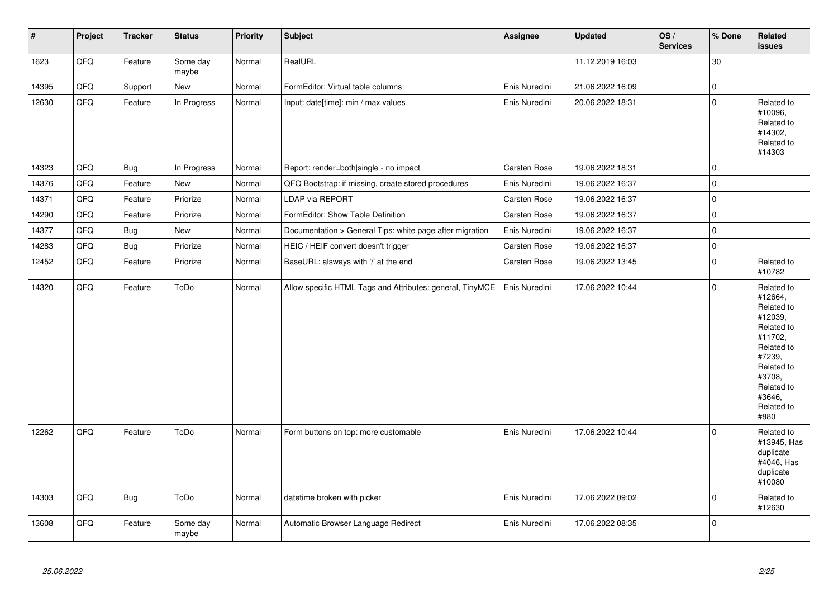| $\sharp$ | Project | <b>Tracker</b> | <b>Status</b>     | <b>Priority</b> | <b>Subject</b>                                            | Assignee      | <b>Updated</b>   | OS/<br><b>Services</b> | % Done      | Related<br>issues                                                                                                                                                     |
|----------|---------|----------------|-------------------|-----------------|-----------------------------------------------------------|---------------|------------------|------------------------|-------------|-----------------------------------------------------------------------------------------------------------------------------------------------------------------------|
| 1623     | QFQ     | Feature        | Some day<br>maybe | Normal          | RealURL                                                   |               | 11.12.2019 16:03 |                        | 30          |                                                                                                                                                                       |
| 14395    | QFQ     | Support        | New               | Normal          | FormEditor: Virtual table columns                         | Enis Nuredini | 21.06.2022 16:09 |                        | $\mathbf 0$ |                                                                                                                                                                       |
| 12630    | QFQ     | Feature        | In Progress       | Normal          | Input: date[time]: min / max values                       | Enis Nuredini | 20.06.2022 18:31 |                        | $\mathbf 0$ | Related to<br>#10096,<br>Related to<br>#14302,<br>Related to<br>#14303                                                                                                |
| 14323    | QFQ     | <b>Bug</b>     | In Progress       | Normal          | Report: render=both single - no impact                    | Carsten Rose  | 19.06.2022 18:31 |                        | $\mathbf 0$ |                                                                                                                                                                       |
| 14376    | QFQ     | Feature        | New               | Normal          | QFQ Bootstrap: if missing, create stored procedures       | Enis Nuredini | 19.06.2022 16:37 |                        | $\mathbf 0$ |                                                                                                                                                                       |
| 14371    | QFQ     | Feature        | Priorize          | Normal          | LDAP via REPORT                                           | Carsten Rose  | 19.06.2022 16:37 |                        | $\mathbf 0$ |                                                                                                                                                                       |
| 14290    | QFQ     | Feature        | Priorize          | Normal          | FormEditor: Show Table Definition                         | Carsten Rose  | 19.06.2022 16:37 |                        | $\mathbf 0$ |                                                                                                                                                                       |
| 14377    | QFQ     | <b>Bug</b>     | New               | Normal          | Documentation > General Tips: white page after migration  | Enis Nuredini | 19.06.2022 16:37 |                        | $\mathbf 0$ |                                                                                                                                                                       |
| 14283    | QFQ     | Bug            | Priorize          | Normal          | HEIC / HEIF convert doesn't trigger                       | Carsten Rose  | 19.06.2022 16:37 |                        | $\mathbf 0$ |                                                                                                                                                                       |
| 12452    | QFQ     | Feature        | Priorize          | Normal          | BaseURL: alsways with '/' at the end                      | Carsten Rose  | 19.06.2022 13:45 |                        | $\mathbf 0$ | Related to<br>#10782                                                                                                                                                  |
| 14320    | QFQ     | Feature        | ToDo              | Normal          | Allow specific HTML Tags and Attributes: general, TinyMCE | Enis Nuredini | 17.06.2022 10:44 |                        | $\Omega$    | Related to<br>#12664,<br>Related to<br>#12039,<br>Related to<br>#11702,<br>Related to<br>#7239,<br>Related to<br>#3708,<br>Related to<br>#3646,<br>Related to<br>#880 |
| 12262    | QFQ     | Feature        | ToDo              | Normal          | Form buttons on top: more customable                      | Enis Nuredini | 17.06.2022 10:44 |                        | $\Omega$    | Related to<br>#13945, Has<br>duplicate<br>#4046, Has<br>duplicate<br>#10080                                                                                           |
| 14303    | QFQ     | Bug            | ToDo              | Normal          | datetime broken with picker                               | Enis Nuredini | 17.06.2022 09:02 |                        | $\pmb{0}$   | Related to<br>#12630                                                                                                                                                  |
| 13608    | QFQ     | Feature        | Some day<br>maybe | Normal          | Automatic Browser Language Redirect                       | Enis Nuredini | 17.06.2022 08:35 |                        | 0           |                                                                                                                                                                       |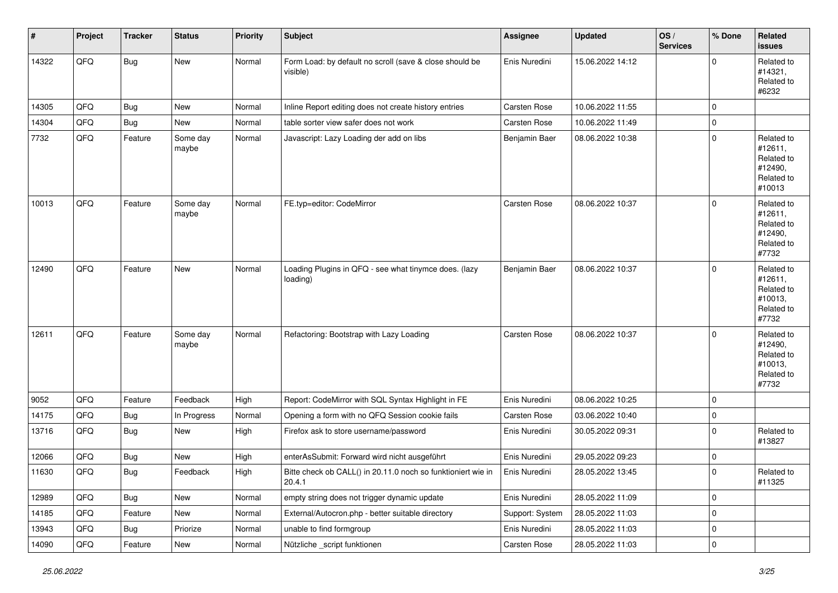| #     | Project | <b>Tracker</b> | <b>Status</b>     | <b>Priority</b> | <b>Subject</b>                                                         | <b>Assignee</b>     | <b>Updated</b>   | OS/<br><b>Services</b> | % Done      | Related<br>issues                                                      |
|-------|---------|----------------|-------------------|-----------------|------------------------------------------------------------------------|---------------------|------------------|------------------------|-------------|------------------------------------------------------------------------|
| 14322 | QFQ     | <b>Bug</b>     | New               | Normal          | Form Load: by default no scroll (save & close should be<br>visible)    | Enis Nuredini       | 15.06.2022 14:12 |                        | 0           | Related to<br>#14321,<br>Related to<br>#6232                           |
| 14305 | QFQ     | Bug            | New               | Normal          | Inline Report editing does not create history entries                  | <b>Carsten Rose</b> | 10.06.2022 11:55 |                        | $\mathbf 0$ |                                                                        |
| 14304 | QFQ     | <b>Bug</b>     | New               | Normal          | table sorter view safer does not work                                  | Carsten Rose        | 10.06.2022 11:49 |                        | 0           |                                                                        |
| 7732  | QFQ     | Feature        | Some day<br>maybe | Normal          | Javascript: Lazy Loading der add on libs                               | Benjamin Baer       | 08.06.2022 10:38 |                        | 0           | Related to<br>#12611,<br>Related to<br>#12490,<br>Related to<br>#10013 |
| 10013 | QFQ     | Feature        | Some day<br>maybe | Normal          | FE.typ=editor: CodeMirror                                              | <b>Carsten Rose</b> | 08.06.2022 10:37 |                        | 0           | Related to<br>#12611,<br>Related to<br>#12490,<br>Related to<br>#7732  |
| 12490 | QFQ     | Feature        | New               | Normal          | Loading Plugins in QFQ - see what tinymce does. (lazy<br>loading)      | Benjamin Baer       | 08.06.2022 10:37 |                        | $\mathbf 0$ | Related to<br>#12611,<br>Related to<br>#10013,<br>Related to<br>#7732  |
| 12611 | QFQ     | Feature        | Some day<br>maybe | Normal          | Refactoring: Bootstrap with Lazy Loading                               | <b>Carsten Rose</b> | 08.06.2022 10:37 |                        | $\Omega$    | Related to<br>#12490,<br>Related to<br>#10013,<br>Related to<br>#7732  |
| 9052  | QFQ     | Feature        | Feedback          | High            | Report: CodeMirror with SQL Syntax Highlight in FE                     | Enis Nuredini       | 08.06.2022 10:25 |                        | 0           |                                                                        |
| 14175 | QFQ     | Bug            | In Progress       | Normal          | Opening a form with no QFQ Session cookie fails                        | Carsten Rose        | 03.06.2022 10:40 |                        | 0           |                                                                        |
| 13716 | QFQ     | Bug            | New               | High            | Firefox ask to store username/password                                 | Enis Nuredini       | 30.05.2022 09:31 |                        | 0           | Related to<br>#13827                                                   |
| 12066 | QFQ     | Bug            | New               | High            | enterAsSubmit: Forward wird nicht ausgeführt                           | Enis Nuredini       | 29.05.2022 09:23 |                        | 0           |                                                                        |
| 11630 | QFG     | Bug            | Feedback          | High            | Bitte check ob CALL() in 20.11.0 noch so funktioniert wie in<br>20.4.1 | Enis Nuredini       | 28.05.2022 13:45 |                        | $\Omega$    | Related to<br>#11325                                                   |
| 12989 | QFQ     | Bug            | New               | Normal          | empty string does not trigger dynamic update                           | Enis Nuredini       | 28.05.2022 11:09 |                        | $\mathbf 0$ |                                                                        |
| 14185 | QFQ     | Feature        | New               | Normal          | External/Autocron.php - better suitable directory                      | Support: System     | 28.05.2022 11:03 |                        | $\mathbf 0$ |                                                                        |
| 13943 | QFQ     | Bug            | Priorize          | Normal          | unable to find formgroup                                               | Enis Nuredini       | 28.05.2022 11:03 |                        | 0           |                                                                        |
| 14090 | QFQ     | Feature        | New               | Normal          | Nützliche _script funktionen                                           | Carsten Rose        | 28.05.2022 11:03 |                        | $\pmb{0}$   |                                                                        |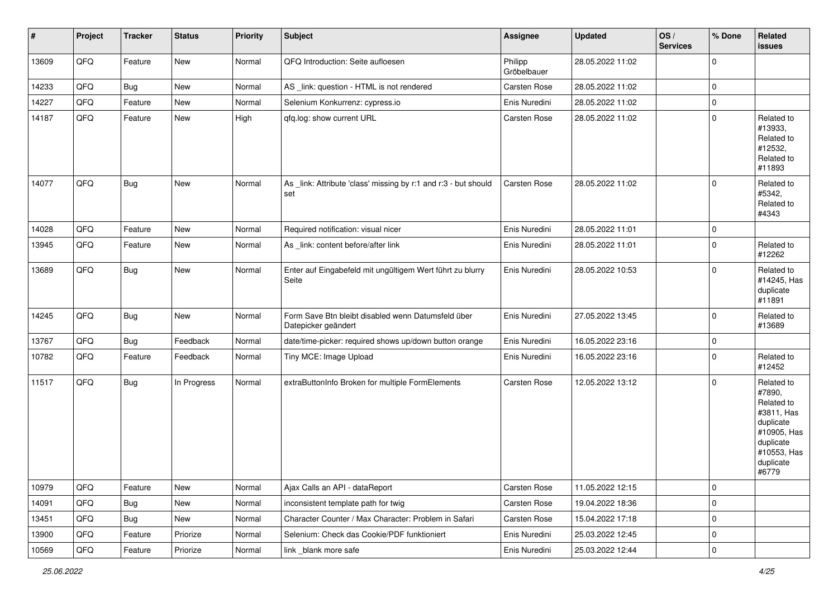| $\vert$ # | Project | <b>Tracker</b> | <b>Status</b> | <b>Priority</b> | <b>Subject</b>                                                            | <b>Assignee</b>        | <b>Updated</b>   | OS/<br><b>Services</b> | % Done         | Related<br><b>issues</b>                                                                                                       |
|-----------|---------|----------------|---------------|-----------------|---------------------------------------------------------------------------|------------------------|------------------|------------------------|----------------|--------------------------------------------------------------------------------------------------------------------------------|
| 13609     | QFQ     | Feature        | New           | Normal          | QFQ Introduction: Seite aufloesen                                         | Philipp<br>Gröbelbauer | 28.05.2022 11:02 |                        | $\mathbf 0$    |                                                                                                                                |
| 14233     | QFQ     | <b>Bug</b>     | New           | Normal          | AS _link: question - HTML is not rendered                                 | Carsten Rose           | 28.05.2022 11:02 |                        | $\mathbf 0$    |                                                                                                                                |
| 14227     | QFQ     | Feature        | New           | Normal          | Selenium Konkurrenz: cypress.io                                           | Enis Nuredini          | 28.05.2022 11:02 |                        | $\mathbf 0$    |                                                                                                                                |
| 14187     | QFQ     | Feature        | New           | High            | qfq.log: show current URL                                                 | Carsten Rose           | 28.05.2022 11:02 |                        | 0              | Related to<br>#13933,<br>Related to<br>#12532,<br>Related to<br>#11893                                                         |
| 14077     | QFQ     | <b>Bug</b>     | New           | Normal          | As _link: Attribute 'class' missing by r:1 and r:3 - but should<br>set    | Carsten Rose           | 28.05.2022 11:02 |                        | $\mathbf 0$    | Related to<br>#5342,<br>Related to<br>#4343                                                                                    |
| 14028     | QFQ     | Feature        | <b>New</b>    | Normal          | Required notification: visual nicer                                       | Enis Nuredini          | 28.05.2022 11:01 |                        | $\mathbf 0$    |                                                                                                                                |
| 13945     | QFQ     | Feature        | New           | Normal          | As _link: content before/after link                                       | Enis Nuredini          | 28.05.2022 11:01 |                        | 0              | Related to<br>#12262                                                                                                           |
| 13689     | QFQ     | Bug            | New           | Normal          | Enter auf Eingabefeld mit ungültigem Wert führt zu blurry<br>Seite        | Enis Nuredini          | 28.05.2022 10:53 |                        | $\mathbf{0}$   | Related to<br>#14245, Has<br>duplicate<br>#11891                                                                               |
| 14245     | QFQ     | Bug            | <b>New</b>    | Normal          | Form Save Btn bleibt disabled wenn Datumsfeld über<br>Datepicker geändert | Enis Nuredini          | 27.05.2022 13:45 |                        | $\mathbf{0}$   | Related to<br>#13689                                                                                                           |
| 13767     | QFQ     | Bug            | Feedback      | Normal          | date/time-picker: required shows up/down button orange                    | Enis Nuredini          | 16.05.2022 23:16 |                        | $\mathbf 0$    |                                                                                                                                |
| 10782     | QFQ     | Feature        | Feedback      | Normal          | Tiny MCE: Image Upload                                                    | Enis Nuredini          | 16.05.2022 23:16 |                        | 0              | Related to<br>#12452                                                                                                           |
| 11517     | QFQ     | Bug            | In Progress   | Normal          | extraButtonInfo Broken for multiple FormElements                          | Carsten Rose           | 12.05.2022 13:12 |                        | $\mathbf 0$    | Related to<br>#7890,<br>Related to<br>#3811, Has<br>duplicate<br>#10905, Has<br>duplicate<br>#10553, Has<br>duplicate<br>#6779 |
| 10979     | QFQ     | Feature        | New           | Normal          | Ajax Calls an API - dataReport                                            | Carsten Rose           | 11.05.2022 12:15 |                        | $\mathbf 0$    |                                                                                                                                |
| 14091     | QFQ     | <b>Bug</b>     | New           | Normal          | inconsistent template path for twig                                       | Carsten Rose           | 19.04.2022 18:36 |                        | $\mathbf 0$    |                                                                                                                                |
| 13451     | QFQ     | <b>Bug</b>     | New           | Normal          | Character Counter / Max Character: Problem in Safari                      | Carsten Rose           | 15.04.2022 17:18 |                        | $\mathbf 0$    |                                                                                                                                |
| 13900     | QFQ     | Feature        | Priorize      | Normal          | Selenium: Check das Cookie/PDF funktioniert                               | Enis Nuredini          | 25.03.2022 12:45 |                        | $\overline{0}$ |                                                                                                                                |
| 10569     | QFQ     | Feature        | Priorize      | Normal          | link _blank more safe                                                     | Enis Nuredini          | 25.03.2022 12:44 |                        | $\overline{0}$ |                                                                                                                                |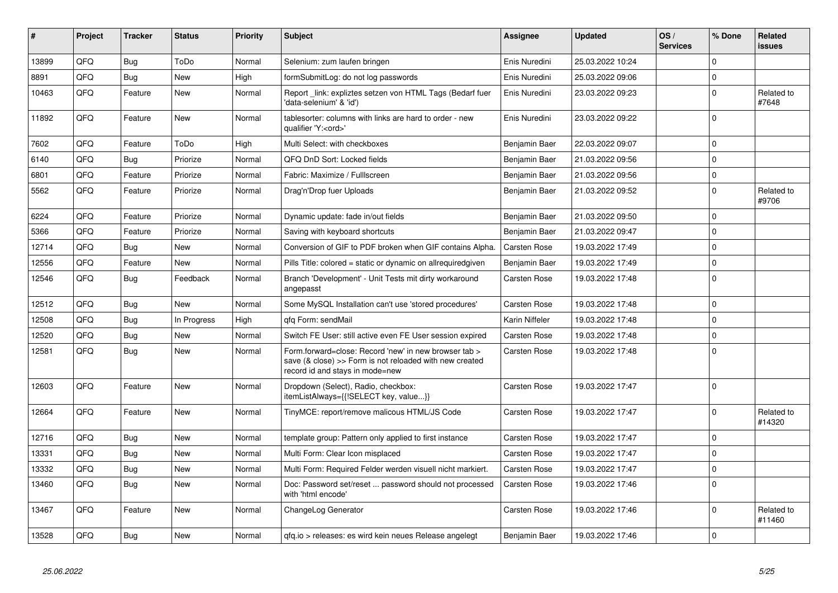| ∦     | Project | <b>Tracker</b> | <b>Status</b> | <b>Priority</b> | <b>Subject</b>                                                                                                                                      | Assignee            | <b>Updated</b>   | OS/<br><b>Services</b> | % Done      | Related<br>issues    |
|-------|---------|----------------|---------------|-----------------|-----------------------------------------------------------------------------------------------------------------------------------------------------|---------------------|------------------|------------------------|-------------|----------------------|
| 13899 | QFQ     | Bug            | ToDo          | Normal          | Selenium: zum laufen bringen                                                                                                                        | Enis Nuredini       | 25.03.2022 10:24 |                        | $\Omega$    |                      |
| 8891  | QFQ     | <b>Bug</b>     | <b>New</b>    | High            | formSubmitLog: do not log passwords                                                                                                                 | Enis Nuredini       | 25.03.2022 09:06 |                        | $\mathbf 0$ |                      |
| 10463 | QFQ     | Feature        | <b>New</b>    | Normal          | Report_link: expliztes setzen von HTML Tags (Bedarf fuer<br>'data-selenium' & 'id')                                                                 | Enis Nuredini       | 23.03.2022 09:23 |                        | $\mathbf 0$ | Related to<br>#7648  |
| 11892 | QFQ     | Feature        | <b>New</b>    | Normal          | tablesorter: columns with links are hard to order - new<br>qualifier 'Y: <ord>'</ord>                                                               | Enis Nuredini       | 23.03.2022 09:22 |                        | $\Omega$    |                      |
| 7602  | QFQ     | Feature        | ToDo          | High            | Multi Select: with checkboxes                                                                                                                       | Benjamin Baer       | 22.03.2022 09:07 |                        | $\mathbf 0$ |                      |
| 6140  | QFQ     | <b>Bug</b>     | Priorize      | Normal          | QFQ DnD Sort: Locked fields                                                                                                                         | Benjamin Baer       | 21.03.2022 09:56 |                        | $\mathbf 0$ |                      |
| 6801  | QFQ     | Feature        | Priorize      | Normal          | Fabric: Maximize / Fulllscreen                                                                                                                      | Benjamin Baer       | 21.03.2022 09:56 |                        | $\pmb{0}$   |                      |
| 5562  | QFQ     | Feature        | Priorize      | Normal          | Drag'n'Drop fuer Uploads                                                                                                                            | Benjamin Baer       | 21.03.2022 09:52 |                        | $\Omega$    | Related to<br>#9706  |
| 6224  | QFQ     | Feature        | Priorize      | Normal          | Dynamic update: fade in/out fields                                                                                                                  | Benjamin Baer       | 21.03.2022 09:50 |                        | $\mathbf 0$ |                      |
| 5366  | QFQ     | Feature        | Priorize      | Normal          | Saving with keyboard shortcuts                                                                                                                      | Benjamin Baer       | 21.03.2022 09:47 |                        | $\Omega$    |                      |
| 12714 | QFQ     | Bug            | <b>New</b>    | Normal          | Conversion of GIF to PDF broken when GIF contains Alpha.                                                                                            | <b>Carsten Rose</b> | 19.03.2022 17:49 |                        | $\mathbf 0$ |                      |
| 12556 | QFQ     | Feature        | <b>New</b>    | Normal          | Pills Title: colored = static or dynamic on allrequiredgiven                                                                                        | Benjamin Baer       | 19.03.2022 17:49 |                        | $\pmb{0}$   |                      |
| 12546 | QFQ     | Bug            | Feedback      | Normal          | Branch 'Development' - Unit Tests mit dirty workaround<br>angepasst                                                                                 | <b>Carsten Rose</b> | 19.03.2022 17:48 |                        | $\mathbf 0$ |                      |
| 12512 | QFQ     | Bug            | <b>New</b>    | Normal          | Some MySQL Installation can't use 'stored procedures'                                                                                               | Carsten Rose        | 19.03.2022 17:48 |                        | $\Omega$    |                      |
| 12508 | QFQ     | <b>Bug</b>     | In Progress   | High            | gfg Form: sendMail                                                                                                                                  | Karin Niffeler      | 19.03.2022 17:48 |                        | $\mathbf 0$ |                      |
| 12520 | QFQ     | Bug            | <b>New</b>    | Normal          | Switch FE User: still active even FE User session expired                                                                                           | <b>Carsten Rose</b> | 19.03.2022 17:48 |                        | $\Omega$    |                      |
| 12581 | QFQ     | Bug            | <b>New</b>    | Normal          | Form.forward=close: Record 'new' in new browser tab ><br>save (& close) >> Form is not reloaded with new created<br>record id and stays in mode=new | Carsten Rose        | 19.03.2022 17:48 |                        | $\Omega$    |                      |
| 12603 | QFQ     | Feature        | <b>New</b>    | Normal          | Dropdown (Select), Radio, checkbox:<br>itemListAlways={{!SELECT key, value}}                                                                        | <b>Carsten Rose</b> | 19.03.2022 17:47 |                        | $\mathbf 0$ |                      |
| 12664 | QFQ     | Feature        | <b>New</b>    | Normal          | TinyMCE: report/remove malicous HTML/JS Code                                                                                                        | <b>Carsten Rose</b> | 19.03.2022 17:47 |                        | $\mathbf 0$ | Related to<br>#14320 |
| 12716 | QFQ     | <b>Bug</b>     | <b>New</b>    | Normal          | template group: Pattern only applied to first instance                                                                                              | <b>Carsten Rose</b> | 19.03.2022 17:47 |                        | $\mathbf 0$ |                      |
| 13331 | QFQ     | Bug            | <b>New</b>    | Normal          | Multi Form: Clear Icon misplaced                                                                                                                    | <b>Carsten Rose</b> | 19.03.2022 17:47 |                        | $\mathbf 0$ |                      |
| 13332 | QFQ     | Bug            | New           | Normal          | Multi Form: Required Felder werden visuell nicht markiert.                                                                                          | Carsten Rose        | 19.03.2022 17:47 |                        | $\pmb{0}$   |                      |
| 13460 | QFQ     | <b>Bug</b>     | <b>New</b>    | Normal          | Doc: Password set/reset  password should not processed<br>with 'html encode'                                                                        | Carsten Rose        | 19.03.2022 17:46 |                        | $\mathbf 0$ |                      |
| 13467 | QFQ     | Feature        | <b>New</b>    | Normal          | ChangeLog Generator                                                                                                                                 | <b>Carsten Rose</b> | 19.03.2022 17:46 |                        | $\Omega$    | Related to<br>#11460 |
| 13528 | QFQ     | Bug            | New           | Normal          | gfg.io > releases: es wird kein neues Release angelegt                                                                                              | Benjamin Baer       | 19.03.2022 17:46 |                        | $\pmb{0}$   |                      |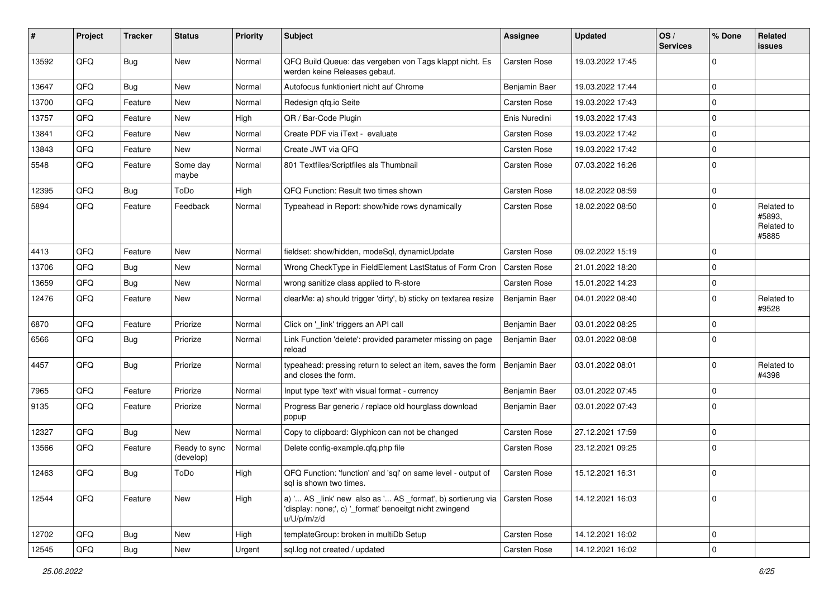| #     | Project | <b>Tracker</b> | <b>Status</b>              | <b>Priority</b> | <b>Subject</b>                                                                                                                                       | Assignee            | <b>Updated</b>   | OS/<br><b>Services</b> | % Done      | Related<br>issues                           |
|-------|---------|----------------|----------------------------|-----------------|------------------------------------------------------------------------------------------------------------------------------------------------------|---------------------|------------------|------------------------|-------------|---------------------------------------------|
| 13592 | QFQ     | Bug            | New                        | Normal          | QFQ Build Queue: das vergeben von Tags klappt nicht. Es<br>werden keine Releases gebaut.                                                             | Carsten Rose        | 19.03.2022 17:45 |                        | $\Omega$    |                                             |
| 13647 | QFQ     | <b>Bug</b>     | <b>New</b>                 | Normal          | Autofocus funktioniert nicht auf Chrome                                                                                                              | Benjamin Baer       | 19.03.2022 17:44 |                        | $\Omega$    |                                             |
| 13700 | QFQ     | Feature        | <b>New</b>                 | Normal          | Redesign qfq.io Seite                                                                                                                                | Carsten Rose        | 19.03.2022 17:43 |                        | $\Omega$    |                                             |
| 13757 | QFQ     | Feature        | <b>New</b>                 | High            | QR / Bar-Code Plugin                                                                                                                                 | Enis Nuredini       | 19.03.2022 17:43 |                        | $\Omega$    |                                             |
| 13841 | QFQ     | Feature        | <b>New</b>                 | Normal          | Create PDF via iText - evaluate                                                                                                                      | Carsten Rose        | 19.03.2022 17:42 |                        | $\Omega$    |                                             |
| 13843 | QFQ     | Feature        | New                        | Normal          | Create JWT via QFQ                                                                                                                                   | <b>Carsten Rose</b> | 19.03.2022 17:42 |                        | $\Omega$    |                                             |
| 5548  | QFQ     | Feature        | Some day<br>maybe          | Normal          | 801 Textfiles/Scriptfiles als Thumbnail                                                                                                              | Carsten Rose        | 07.03.2022 16:26 |                        | $\Omega$    |                                             |
| 12395 | QFQ     | Bug            | ToDo                       | High            | QFQ Function: Result two times shown                                                                                                                 | Carsten Rose        | 18.02.2022 08:59 |                        | $\Omega$    |                                             |
| 5894  | QFQ     | Feature        | Feedback                   | Normal          | Typeahead in Report: show/hide rows dynamically                                                                                                      | Carsten Rose        | 18.02.2022 08:50 |                        | $\Omega$    | Related to<br>#5893.<br>Related to<br>#5885 |
| 4413  | QFQ     | Feature        | <b>New</b>                 | Normal          | fieldset: show/hidden, modeSql, dynamicUpdate                                                                                                        | Carsten Rose        | 09.02.2022 15:19 |                        | $\Omega$    |                                             |
| 13706 | QFQ     | <b>Bug</b>     | <b>New</b>                 | Normal          | Wrong CheckType in FieldElement LastStatus of Form Cron                                                                                              | Carsten Rose        | 21.01.2022 18:20 |                        | $\Omega$    |                                             |
| 13659 | QFQ     | <b>Bug</b>     | <b>New</b>                 | Normal          | wrong sanitize class applied to R-store                                                                                                              | Carsten Rose        | 15.01.2022 14:23 |                        | $\Omega$    |                                             |
| 12476 | QFQ     | Feature        | New                        | Normal          | clearMe: a) should trigger 'dirty', b) sticky on textarea resize                                                                                     | Benjamin Baer       | 04.01.2022 08:40 |                        | $\Omega$    | Related to<br>#9528                         |
| 6870  | QFQ     | Feature        | Priorize                   | Normal          | Click on '_link' triggers an API call                                                                                                                | Benjamin Baer       | 03.01.2022 08:25 |                        | $\Omega$    |                                             |
| 6566  | QFQ     | <b>Bug</b>     | Priorize                   | Normal          | Link Function 'delete': provided parameter missing on page<br>reload                                                                                 | Benjamin Baer       | 03.01.2022 08:08 |                        | $\Omega$    |                                             |
| 4457  | QFQ     | Bug            | Priorize                   | Normal          | typeahead: pressing return to select an item, saves the form<br>and closes the form.                                                                 | Benjamin Baer       | 03.01.2022 08:01 |                        | $\Omega$    | Related to<br>#4398                         |
| 7965  | QFQ     | Feature        | Priorize                   | Normal          | Input type 'text' with visual format - currency                                                                                                      | Benjamin Baer       | 03.01.2022 07:45 |                        | $\Omega$    |                                             |
| 9135  | QFQ     | Feature        | Priorize                   | Normal          | Progress Bar generic / replace old hourglass download<br>popup                                                                                       | Benjamin Baer       | 03.01.2022 07:43 |                        | $\Omega$    |                                             |
| 12327 | QFQ     | Bug            | <b>New</b>                 | Normal          | Copy to clipboard: Glyphicon can not be changed                                                                                                      | <b>Carsten Rose</b> | 27.12.2021 17:59 |                        | $\Omega$    |                                             |
| 13566 | QFQ     | Feature        | Ready to sync<br>(develop) | Normal          | Delete config-example.qfq.php file                                                                                                                   | Carsten Rose        | 23.12.2021 09:25 |                        | $\Omega$    |                                             |
| 12463 | QFQ     | Bug            | ToDo                       | High            | QFQ Function: 'function' and 'sql' on same level - output of<br>sql is shown two times.                                                              | Carsten Rose        | 15.12.2021 16:31 |                        | $\mathbf 0$ |                                             |
| 12544 | QFQ     | Feature        | New                        | High            | a) ' AS _link' new also as ' AS _format', b) sortierung via   Carsten Rose<br>'display: none;', c) '_format' benoeitgt nicht zwingend<br>u/U/p/m/z/d |                     | 14.12.2021 16:03 |                        | 0           |                                             |
| 12702 | QFQ     | Bug            | New                        | High            | templateGroup: broken in multiDb Setup                                                                                                               | Carsten Rose        | 14.12.2021 16:02 |                        | 0           |                                             |
| 12545 | QFQ     | <b>Bug</b>     | New                        | Urgent          | sql.log not created / updated                                                                                                                        | Carsten Rose        | 14.12.2021 16:02 |                        | $\pmb{0}$   |                                             |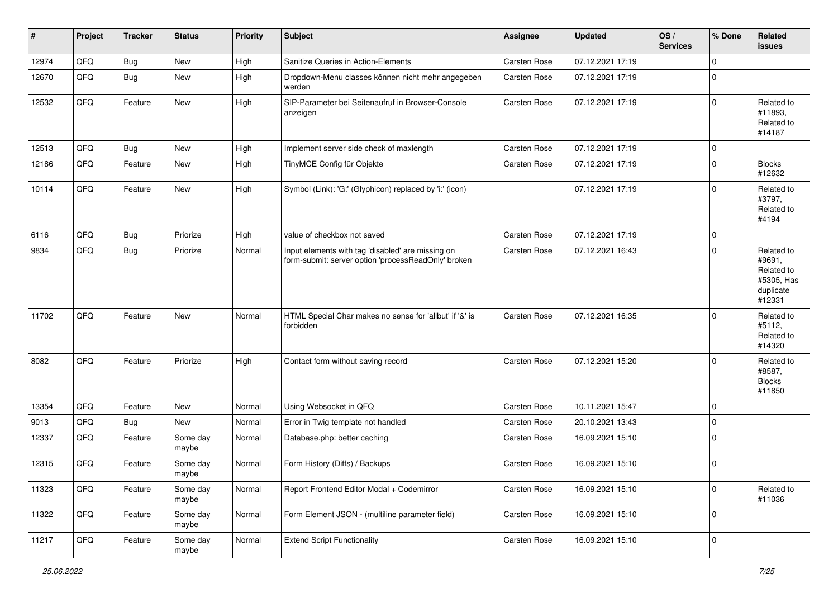| $\vert$ # | Project | <b>Tracker</b> | <b>Status</b>     | <b>Priority</b> | <b>Subject</b>                                                                                           | <b>Assignee</b>     | <b>Updated</b>   | OS/<br><b>Services</b> | % Done      | <b>Related</b><br><b>issues</b>                                         |
|-----------|---------|----------------|-------------------|-----------------|----------------------------------------------------------------------------------------------------------|---------------------|------------------|------------------------|-------------|-------------------------------------------------------------------------|
| 12974     | QFQ     | Bug            | New               | High            | Sanitize Queries in Action-Elements                                                                      | Carsten Rose        | 07.12.2021 17:19 |                        | $\mathbf 0$ |                                                                         |
| 12670     | QFQ     | Bug            | New               | High            | Dropdown-Menu classes können nicht mehr angegeben<br>werden                                              | Carsten Rose        | 07.12.2021 17:19 |                        | $\mathbf 0$ |                                                                         |
| 12532     | QFQ     | Feature        | New               | High            | SIP-Parameter bei Seitenaufruf in Browser-Console<br>anzeigen                                            | Carsten Rose        | 07.12.2021 17:19 |                        | $\mathbf 0$ | Related to<br>#11893,<br>Related to<br>#14187                           |
| 12513     | QFQ     | <b>Bug</b>     | <b>New</b>        | High            | Implement server side check of maxlength                                                                 | Carsten Rose        | 07.12.2021 17:19 |                        | $\mathbf 0$ |                                                                         |
| 12186     | QFQ     | Feature        | <b>New</b>        | High            | TinyMCE Config für Objekte                                                                               | Carsten Rose        | 07.12.2021 17:19 |                        | $\mathbf 0$ | <b>Blocks</b><br>#12632                                                 |
| 10114     | QFQ     | Feature        | New               | High            | Symbol (Link): 'G:' (Glyphicon) replaced by 'i:' (icon)                                                  |                     | 07.12.2021 17:19 |                        | $\mathbf 0$ | Related to<br>#3797,<br>Related to<br>#4194                             |
| 6116      | QFQ     | Bug            | Priorize          | High            | value of checkbox not saved                                                                              | Carsten Rose        | 07.12.2021 17:19 |                        | $\mathbf 0$ |                                                                         |
| 9834      | QFQ     | Bug            | Priorize          | Normal          | Input elements with tag 'disabled' are missing on<br>form-submit: server option 'processReadOnly' broken | Carsten Rose        | 07.12.2021 16:43 |                        | $\mathbf 0$ | Related to<br>#9691,<br>Related to<br>#5305, Has<br>duplicate<br>#12331 |
| 11702     | QFQ     | Feature        | <b>New</b>        | Normal          | HTML Special Char makes no sense for 'allbut' if '&' is<br>forbidden                                     | Carsten Rose        | 07.12.2021 16:35 |                        | 0           | Related to<br>#5112,<br>Related to<br>#14320                            |
| 8082      | QFQ     | Feature        | Priorize          | High            | Contact form without saving record                                                                       | <b>Carsten Rose</b> | 07.12.2021 15:20 |                        | $\Omega$    | Related to<br>#8587,<br><b>Blocks</b><br>#11850                         |
| 13354     | QFQ     | Feature        | <b>New</b>        | Normal          | Using Websocket in QFQ                                                                                   | <b>Carsten Rose</b> | 10.11.2021 15:47 |                        | $\mathbf 0$ |                                                                         |
| 9013      | QFQ     | <b>Bug</b>     | <b>New</b>        | Normal          | Error in Twig template not handled                                                                       | Carsten Rose        | 20.10.2021 13:43 |                        | $\mathbf 0$ |                                                                         |
| 12337     | QFQ     | Feature        | Some day<br>maybe | Normal          | Database.php: better caching                                                                             | Carsten Rose        | 16.09.2021 15:10 |                        | $\mathbf 0$ |                                                                         |
| 12315     | QFQ     | Feature        | Some day<br>maybe | Normal          | Form History (Diffs) / Backups                                                                           | Carsten Rose        | 16.09.2021 15:10 |                        | $\mathbf 0$ |                                                                         |
| 11323     | QFQ     | Feature        | Some day<br>maybe | Normal          | Report Frontend Editor Modal + Codemirror                                                                | Carsten Rose        | 16.09.2021 15:10 |                        | 0           | Related to<br>#11036                                                    |
| 11322     | QFQ     | Feature        | Some day<br>maybe | Normal          | Form Element JSON - (multiline parameter field)                                                          | Carsten Rose        | 16.09.2021 15:10 |                        | 0           |                                                                         |
| 11217     | QFQ     | Feature        | Some day<br>maybe | Normal          | <b>Extend Script Functionality</b>                                                                       | Carsten Rose        | 16.09.2021 15:10 |                        | 0           |                                                                         |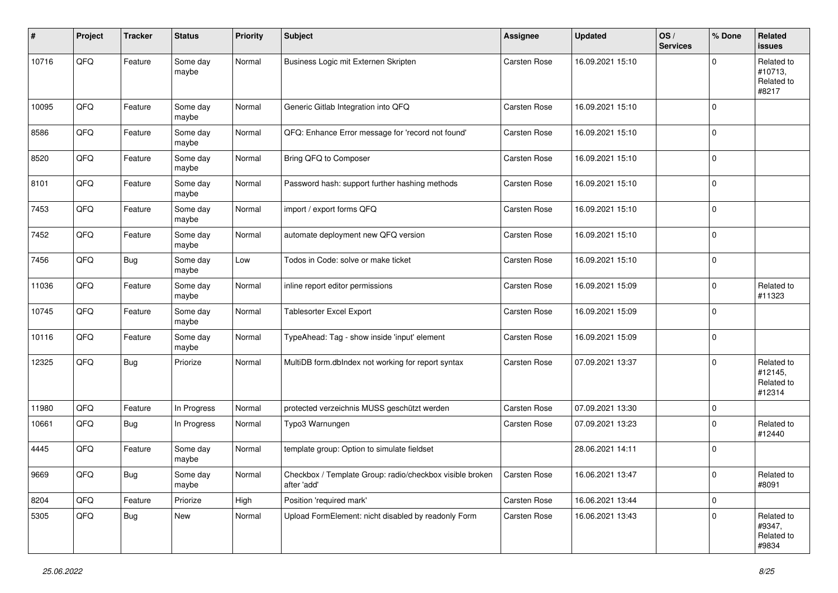| #     | Project        | <b>Tracker</b> | <b>Status</b>     | <b>Priority</b> | <b>Subject</b>                                                                         | Assignee            | <b>Updated</b>   | OS/<br><b>Services</b> | % Done       | Related<br><b>issues</b>                      |
|-------|----------------|----------------|-------------------|-----------------|----------------------------------------------------------------------------------------|---------------------|------------------|------------------------|--------------|-----------------------------------------------|
| 10716 | QFQ            | Feature        | Some day<br>maybe | Normal          | Business Logic mit Externen Skripten                                                   | Carsten Rose        | 16.09.2021 15:10 |                        | 0            | Related to<br>#10713,<br>Related to<br>#8217  |
| 10095 | QFQ            | Feature        | Some day<br>maybe | Normal          | Generic Gitlab Integration into QFQ                                                    | Carsten Rose        | 16.09.2021 15:10 |                        | $\mathbf 0$  |                                               |
| 8586  | QFQ            | Feature        | Some day<br>maybe | Normal          | QFQ: Enhance Error message for 'record not found'                                      | Carsten Rose        | 16.09.2021 15:10 |                        | 0            |                                               |
| 8520  | QFQ            | Feature        | Some day<br>maybe | Normal          | Bring QFQ to Composer                                                                  | Carsten Rose        | 16.09.2021 15:10 |                        | $\mathbf 0$  |                                               |
| 8101  | QFQ            | Feature        | Some day<br>maybe | Normal          | Password hash: support further hashing methods                                         | Carsten Rose        | 16.09.2021 15:10 |                        | 0            |                                               |
| 7453  | QFQ            | Feature        | Some day<br>maybe | Normal          | import / export forms QFQ                                                              | Carsten Rose        | 16.09.2021 15:10 |                        | $\mathbf 0$  |                                               |
| 7452  | QFQ            | Feature        | Some day<br>maybe | Normal          | automate deployment new QFQ version                                                    | Carsten Rose        | 16.09.2021 15:10 |                        | $\Omega$     |                                               |
| 7456  | QFQ            | <b>Bug</b>     | Some day<br>maybe | Low             | Todos in Code: solve or make ticket                                                    | <b>Carsten Rose</b> | 16.09.2021 15:10 |                        | $\mathbf 0$  |                                               |
| 11036 | QFQ            | Feature        | Some day<br>maybe | Normal          | inline report editor permissions                                                       | Carsten Rose        | 16.09.2021 15:09 |                        | 0            | Related to<br>#11323                          |
| 10745 | QFQ            | Feature        | Some day<br>maybe | Normal          | Tablesorter Excel Export                                                               | Carsten Rose        | 16.09.2021 15:09 |                        | $\mathbf 0$  |                                               |
| 10116 | QFQ            | Feature        | Some day<br>maybe | Normal          | TypeAhead: Tag - show inside 'input' element                                           | Carsten Rose        | 16.09.2021 15:09 |                        | $\pmb{0}$    |                                               |
| 12325 | QFQ            | <b>Bug</b>     | Priorize          | Normal          | MultiDB form.dblndex not working for report syntax                                     | <b>Carsten Rose</b> | 07.09.2021 13:37 |                        | 0            | Related to<br>#12145,<br>Related to<br>#12314 |
| 11980 | QFQ            | Feature        | In Progress       | Normal          | protected verzeichnis MUSS geschützt werden                                            | Carsten Rose        | 07.09.2021 13:30 |                        | 0            |                                               |
| 10661 | QFQ            | Bug            | In Progress       | Normal          | Typo3 Warnungen                                                                        | Carsten Rose        | 07.09.2021 13:23 |                        | 0            | Related to<br>#12440                          |
| 4445  | QFQ            | Feature        | Some day<br>maybe | Normal          | template group: Option to simulate fieldset                                            |                     | 28.06.2021 14:11 |                        | $\mathbf 0$  |                                               |
| 9669  | $\mathsf{QFQ}$ | Bug            | Some day<br>maybe | Normal          | Checkbox / Template Group: radio/checkbox visible broken   Carsten Rose<br>after 'add' |                     | 16.06.2021 13:47 |                        | $\pmb{0}$    | Related to<br>#8091                           |
| 8204  | QFQ            | Feature        | Priorize          | High            | Position 'required mark'                                                               | Carsten Rose        | 16.06.2021 13:44 |                        | $\mathbf{0}$ |                                               |
| 5305  | QFO            | Bug            | New               | Normal          | Upload FormElement: nicht disabled by readonly Form                                    | Carsten Rose        | 16.06.2021 13:43 |                        | 0            | Related to<br>#9347,<br>Related to<br>#9834   |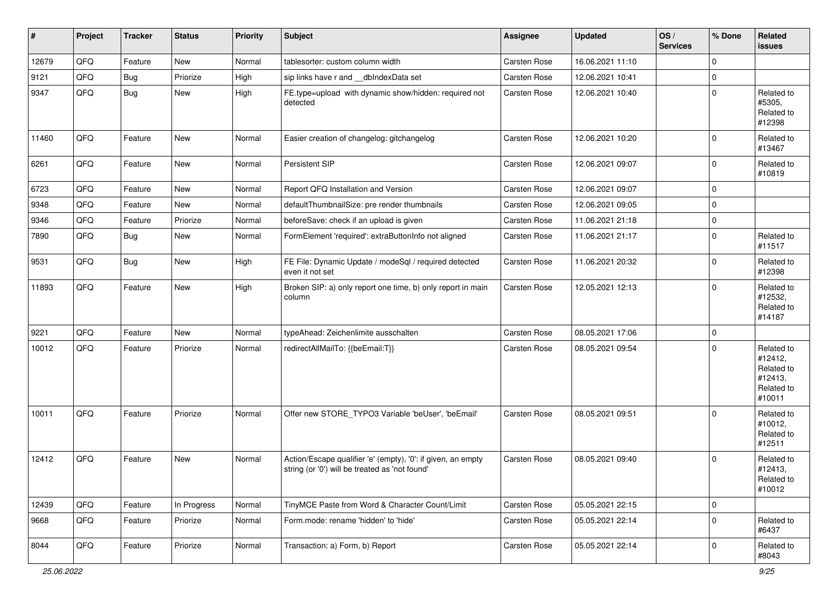| $\vert$ # | Project | <b>Tracker</b> | <b>Status</b> | <b>Priority</b> | <b>Subject</b>                                                                                                 | <b>Assignee</b>     | <b>Updated</b>   | OS/<br><b>Services</b> | % Done      | Related<br>issues                                                      |
|-----------|---------|----------------|---------------|-----------------|----------------------------------------------------------------------------------------------------------------|---------------------|------------------|------------------------|-------------|------------------------------------------------------------------------|
| 12679     | QFQ     | Feature        | New           | Normal          | tablesorter: custom column width                                                                               | Carsten Rose        | 16.06.2021 11:10 |                        | $\mathbf 0$ |                                                                        |
| 9121      | QFQ     | <b>Bug</b>     | Priorize      | High            | sip links have r and __dbIndexData set                                                                         | <b>Carsten Rose</b> | 12.06.2021 10:41 |                        | 0           |                                                                        |
| 9347      | QFQ     | Bug            | <b>New</b>    | High            | FE.type=upload with dynamic show/hidden: required not<br>detected                                              | Carsten Rose        | 12.06.2021 10:40 |                        | $\mathbf 0$ | Related to<br>#5305,<br>Related to<br>#12398                           |
| 11460     | QFQ     | Feature        | New           | Normal          | Easier creation of changelog: gitchangelog                                                                     | Carsten Rose        | 12.06.2021 10:20 |                        | $\mathbf 0$ | Related to<br>#13467                                                   |
| 6261      | QFQ     | Feature        | <b>New</b>    | Normal          | Persistent SIP                                                                                                 | <b>Carsten Rose</b> | 12.06.2021 09:07 |                        | $\mathbf 0$ | Related to<br>#10819                                                   |
| 6723      | QFQ     | Feature        | <b>New</b>    | Normal          | Report QFQ Installation and Version                                                                            | Carsten Rose        | 12.06.2021 09:07 |                        | $\Omega$    |                                                                        |
| 9348      | QFQ     | Feature        | New           | Normal          | defaultThumbnailSize: pre render thumbnails                                                                    | <b>Carsten Rose</b> | 12.06.2021 09:05 |                        | 0           |                                                                        |
| 9346      | QFQ     | Feature        | Priorize      | Normal          | beforeSave: check if an upload is given                                                                        | Carsten Rose        | 11.06.2021 21:18 |                        | 0           |                                                                        |
| 7890      | QFQ     | Bug            | <b>New</b>    | Normal          | FormElement 'required': extraButtonInfo not aligned                                                            | Carsten Rose        | 11.06.2021 21:17 |                        | $\mathbf 0$ | Related to<br>#11517                                                   |
| 9531      | QFQ     | <b>Bug</b>     | New           | High            | FE File: Dynamic Update / modeSql / required detected<br>even it not set                                       | Carsten Rose        | 11.06.2021 20:32 |                        | 0           | Related to<br>#12398                                                   |
| 11893     | QFQ     | Feature        | New           | High            | Broken SIP: a) only report one time, b) only report in main<br>column                                          | Carsten Rose        | 12.05.2021 12:13 |                        | $\mathbf 0$ | Related to<br>#12532,<br>Related to<br>#14187                          |
| 9221      | QFQ     | Feature        | <b>New</b>    | Normal          | typeAhead: Zeichenlimite ausschalten                                                                           | Carsten Rose        | 08.05.2021 17:06 |                        | $\Omega$    |                                                                        |
| 10012     | QFQ     | Feature        | Priorize      | Normal          | redirectAllMailTo: {{beEmail:T}}                                                                               | Carsten Rose        | 08.05.2021 09:54 |                        | 0           | Related to<br>#12412,<br>Related to<br>#12413,<br>Related to<br>#10011 |
| 10011     | QFQ     | Feature        | Priorize      | Normal          | Offer new STORE_TYPO3 Variable 'beUser', 'beEmail'                                                             | Carsten Rose        | 08.05.2021 09:51 |                        | $\Omega$    | Related to<br>#10012,<br>Related to<br>#12511                          |
| 12412     | QFQ     | Feature        | New           | Normal          | Action/Escape qualifier 'e' (empty), '0': if given, an empty<br>string (or '0') will be treated as 'not found' | <b>Carsten Rose</b> | 08.05.2021 09:40 |                        | $\mathbf 0$ | Related to<br>#12413,<br>Related to<br>#10012                          |
| 12439     | QFQ     | Feature        | In Progress   | Normal          | TinyMCE Paste from Word & Character Count/Limit                                                                | Carsten Rose        | 05.05.2021 22:15 |                        | $\mathbf 0$ |                                                                        |
| 9668      | QFQ     | Feature        | Priorize      | Normal          | Form.mode: rename 'hidden' to 'hide'                                                                           | Carsten Rose        | 05.05.2021 22:14 |                        | $\mathbf 0$ | Related to<br>#6437                                                    |
| 8044      | QFQ     | Feature        | Priorize      | Normal          | Transaction: a) Form, b) Report                                                                                | Carsten Rose        | 05.05.2021 22:14 |                        | 0           | Related to<br>#8043                                                    |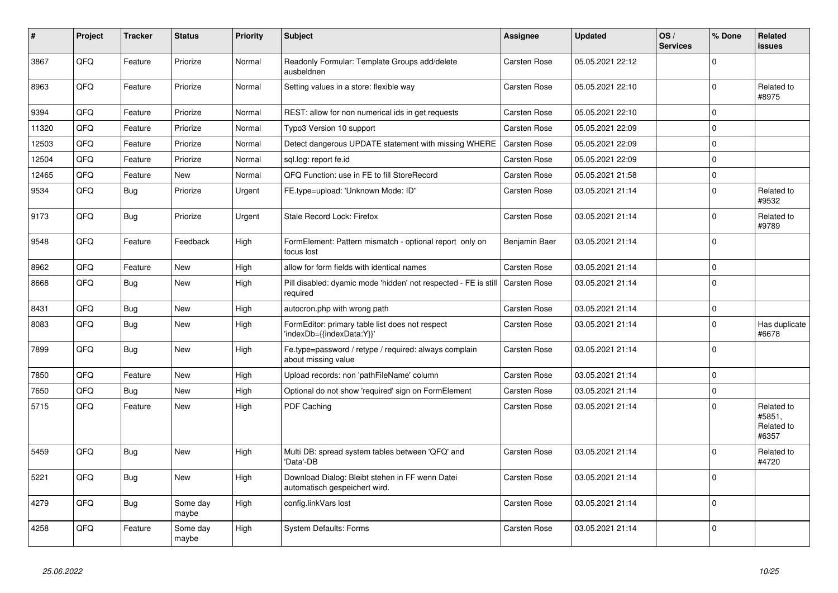| $\vert$ # | Project | <b>Tracker</b> | <b>Status</b>     | <b>Priority</b> | <b>Subject</b>                                                                   | Assignee            | <b>Updated</b>   | OS/<br><b>Services</b> | % Done      | Related<br>issues                           |
|-----------|---------|----------------|-------------------|-----------------|----------------------------------------------------------------------------------|---------------------|------------------|------------------------|-------------|---------------------------------------------|
| 3867      | QFQ     | Feature        | Priorize          | Normal          | Readonly Formular: Template Groups add/delete<br>ausbeldnen                      | <b>Carsten Rose</b> | 05.05.2021 22:12 |                        | $\Omega$    |                                             |
| 8963      | QFQ     | Feature        | Priorize          | Normal          | Setting values in a store: flexible way                                          | Carsten Rose        | 05.05.2021 22:10 |                        | $\mathbf 0$ | Related to<br>#8975                         |
| 9394      | QFQ     | Feature        | Priorize          | Normal          | REST: allow for non numerical ids in get requests                                | Carsten Rose        | 05.05.2021 22:10 |                        | $\mathbf 0$ |                                             |
| 11320     | QFQ     | Feature        | Priorize          | Normal          | Typo3 Version 10 support                                                         | <b>Carsten Rose</b> | 05.05.2021 22:09 |                        | $\mathbf 0$ |                                             |
| 12503     | QFQ     | Feature        | Priorize          | Normal          | Detect dangerous UPDATE statement with missing WHERE                             | <b>Carsten Rose</b> | 05.05.2021 22:09 |                        | $\Omega$    |                                             |
| 12504     | QFQ     | Feature        | Priorize          | Normal          | sql.log: report fe.id                                                            | Carsten Rose        | 05.05.2021 22:09 |                        | $\pmb{0}$   |                                             |
| 12465     | QFQ     | Feature        | <b>New</b>        | Normal          | QFQ Function: use in FE to fill StoreRecord                                      | Carsten Rose        | 05.05.2021 21:58 |                        | 0           |                                             |
| 9534      | QFQ     | Bug            | Priorize          | Urgent          | FE.type=upload: 'Unknown Mode: ID"                                               | <b>Carsten Rose</b> | 03.05.2021 21:14 |                        | $\mathbf 0$ | Related to<br>#9532                         |
| 9173      | QFQ     | <b>Bug</b>     | Priorize          | Urgent          | Stale Record Lock: Firefox                                                       | Carsten Rose        | 03.05.2021 21:14 |                        | $\mathbf 0$ | Related to<br>#9789                         |
| 9548      | QFQ     | Feature        | Feedback          | High            | FormElement: Pattern mismatch - optional report only on<br>focus lost            | Benjamin Baer       | 03.05.2021 21:14 |                        | $\Omega$    |                                             |
| 8962      | QFQ     | Feature        | <b>New</b>        | High            | allow for form fields with identical names                                       | <b>Carsten Rose</b> | 03.05.2021 21:14 |                        | $\pmb{0}$   |                                             |
| 8668      | QFQ     | <b>Bug</b>     | <b>New</b>        | High            | Pill disabled: dyamic mode 'hidden' not respected - FE is still<br>required      | Carsten Rose        | 03.05.2021 21:14 |                        | $\Omega$    |                                             |
| 8431      | QFQ     | <b>Bug</b>     | <b>New</b>        | High            | autocron.php with wrong path                                                     | Carsten Rose        | 03.05.2021 21:14 |                        | $\pmb{0}$   |                                             |
| 8083      | QFQ     | Bug            | New               | High            | FormEditor: primary table list does not respect<br>'indexDb={{indexData:Y}}'     | Carsten Rose        | 03.05.2021 21:14 |                        | $\Omega$    | Has duplicate<br>#6678                      |
| 7899      | QFQ     | Bug            | <b>New</b>        | High            | Fe.type=password / retype / required: always complain<br>about missing value     | Carsten Rose        | 03.05.2021 21:14 |                        | $\mathbf 0$ |                                             |
| 7850      | QFQ     | Feature        | New               | High            | Upload records: non 'pathFileName' column                                        | Carsten Rose        | 03.05.2021 21:14 |                        | $\Omega$    |                                             |
| 7650      | QFQ     | Bug            | New               | High            | Optional do not show 'required' sign on FormElement                              | <b>Carsten Rose</b> | 03.05.2021 21:14 |                        | $\pmb{0}$   |                                             |
| 5715      | QFQ     | Feature        | New               | High            | <b>PDF Caching</b>                                                               | <b>Carsten Rose</b> | 03.05.2021 21:14 |                        | $\Omega$    | Related to<br>#5851,<br>Related to<br>#6357 |
| 5459      | QFQ     | <b>Bug</b>     | New               | High            | Multi DB: spread system tables between 'QFQ' and<br>'Data'-DB                    | Carsten Rose        | 03.05.2021 21:14 |                        | $\Omega$    | Related to<br>#4720                         |
| 5221      | QFQ     | <b>Bug</b>     | New               | High            | Download Dialog: Bleibt stehen in FF wenn Datei<br>automatisch gespeichert wird. | <b>Carsten Rose</b> | 03.05.2021 21:14 |                        | $\Omega$    |                                             |
| 4279      | QFQ     | <b>Bug</b>     | Some day<br>maybe | High            | config.linkVars lost                                                             | Carsten Rose        | 03.05.2021 21:14 |                        | $\Omega$    |                                             |
| 4258      | QFQ     | Feature        | Some day<br>maybe | High            | <b>System Defaults: Forms</b>                                                    | <b>Carsten Rose</b> | 03.05.2021 21:14 |                        | $\Omega$    |                                             |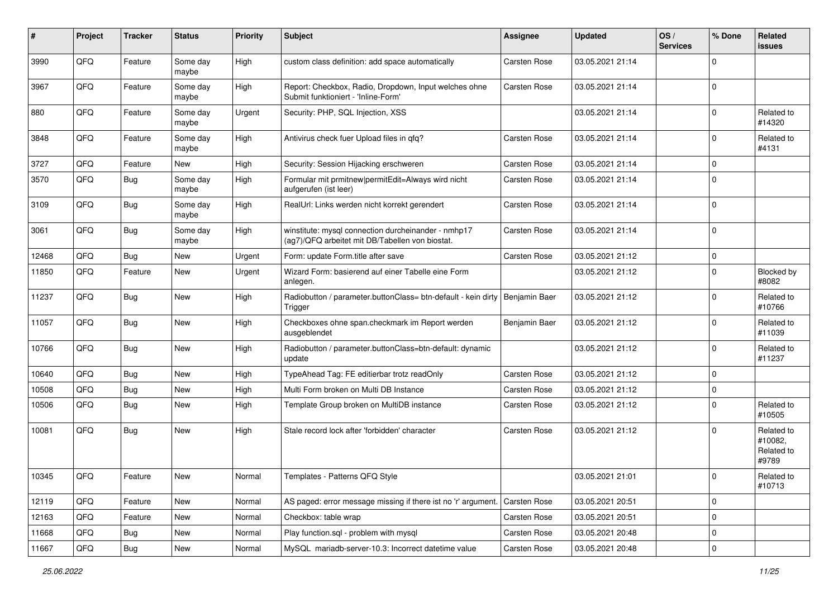| ∦     | Project | <b>Tracker</b> | <b>Status</b>     | <b>Priority</b> | <b>Subject</b>                                                                                         | <b>Assignee</b>     | <b>Updated</b>   | OS/<br><b>Services</b> | % Done      | <b>Related</b><br><b>issues</b>              |
|-------|---------|----------------|-------------------|-----------------|--------------------------------------------------------------------------------------------------------|---------------------|------------------|------------------------|-------------|----------------------------------------------|
| 3990  | QFQ     | Feature        | Some day<br>maybe | High            | custom class definition: add space automatically                                                       | Carsten Rose        | 03.05.2021 21:14 |                        | 0           |                                              |
| 3967  | QFQ     | Feature        | Some day<br>maybe | High            | Report: Checkbox, Radio, Dropdown, Input welches ohne<br>Submit funktioniert - 'Inline-Form'           | <b>Carsten Rose</b> | 03.05.2021 21:14 |                        | 0           |                                              |
| 880   | QFQ     | Feature        | Some day<br>maybe | Urgent          | Security: PHP, SQL Injection, XSS                                                                      |                     | 03.05.2021 21:14 |                        | 0           | Related to<br>#14320                         |
| 3848  | QFQ     | Feature        | Some day<br>maybe | High            | Antivirus check fuer Upload files in qfq?                                                              | Carsten Rose        | 03.05.2021 21:14 |                        | 0           | Related to<br>#4131                          |
| 3727  | QFQ     | Feature        | <b>New</b>        | High            | Security: Session Hijacking erschweren                                                                 | Carsten Rose        | 03.05.2021 21:14 |                        | 0           |                                              |
| 3570  | QFQ     | Bug            | Some day<br>maybe | High            | Formular mit prmitnew   permitEdit=Always wird nicht<br>aufgerufen (ist leer)                          | Carsten Rose        | 03.05.2021 21:14 |                        | $\mathbf 0$ |                                              |
| 3109  | QFQ     | Bug            | Some day<br>maybe | High            | RealUrl: Links werden nicht korrekt gerendert                                                          | Carsten Rose        | 03.05.2021 21:14 |                        | 0           |                                              |
| 3061  | QFQ     | Bug            | Some day<br>maybe | High            | winstitute: mysql connection durcheinander - nmhp17<br>(ag7)/QFQ arbeitet mit DB/Tabellen von biostat. | <b>Carsten Rose</b> | 03.05.2021 21:14 |                        | 0           |                                              |
| 12468 | QFQ     | <b>Bug</b>     | New               | Urgent          | Form: update Form.title after save                                                                     | Carsten Rose        | 03.05.2021 21:12 |                        | 0           |                                              |
| 11850 | QFQ     | Feature        | New               | Urgent          | Wizard Form: basierend auf einer Tabelle eine Form<br>anlegen.                                         |                     | 03.05.2021 21:12 |                        | 0           | Blocked by<br>#8082                          |
| 11237 | QFQ     | Bug            | <b>New</b>        | High            | Radiobutton / parameter.buttonClass= btn-default - kein dirty<br>Trigger                               | Benjamin Baer       | 03.05.2021 21:12 |                        | 0           | Related to<br>#10766                         |
| 11057 | QFQ     | Bug            | New               | High            | Checkboxes ohne span.checkmark im Report werden<br>ausgeblendet                                        | Benjamin Baer       | 03.05.2021 21:12 |                        | 0           | Related to<br>#11039                         |
| 10766 | QFQ     | Bug            | <b>New</b>        | High            | Radiobutton / parameter.buttonClass=btn-default: dynamic<br>update                                     |                     | 03.05.2021 21:12 |                        | 0           | Related to<br>#11237                         |
| 10640 | QFQ     | Bug            | <b>New</b>        | High            | TypeAhead Tag: FE editierbar trotz readOnly                                                            | Carsten Rose        | 03.05.2021 21:12 |                        | 0           |                                              |
| 10508 | QFQ     | Bug            | New               | High            | Multi Form broken on Multi DB Instance                                                                 | Carsten Rose        | 03.05.2021 21:12 |                        | 0           |                                              |
| 10506 | QFQ     | Bug            | <b>New</b>        | High            | Template Group broken on MultiDB instance                                                              | Carsten Rose        | 03.05.2021 21:12 |                        | 0           | Related to<br>#10505                         |
| 10081 | QFQ     | Bug            | New               | High            | Stale record lock after 'forbidden' character                                                          | Carsten Rose        | 03.05.2021 21:12 |                        | 0           | Related to<br>#10082,<br>Related to<br>#9789 |
| 10345 | QFG     | Feature        | New               | Normal          | Templates - Patterns QFQ Style                                                                         |                     | 03.05.2021 21:01 |                        | $\mathbf 0$ | Related to<br>#10713                         |
| 12119 | QFQ     | Feature        | New               | Normal          | AS paged: error message missing if there ist no 'r' argument.                                          | Carsten Rose        | 03.05.2021 20:51 |                        | 0           |                                              |
| 12163 | QFQ     | Feature        | New               | Normal          | Checkbox: table wrap                                                                                   | Carsten Rose        | 03.05.2021 20:51 |                        | 0           |                                              |
| 11668 | QFQ     | <b>Bug</b>     | New               | Normal          | Play function.sql - problem with mysql                                                                 | Carsten Rose        | 03.05.2021 20:48 |                        | 0           |                                              |
| 11667 | QFG     | <b>Bug</b>     | New               | Normal          | MySQL mariadb-server-10.3: Incorrect datetime value                                                    | Carsten Rose        | 03.05.2021 20:48 |                        | 0           |                                              |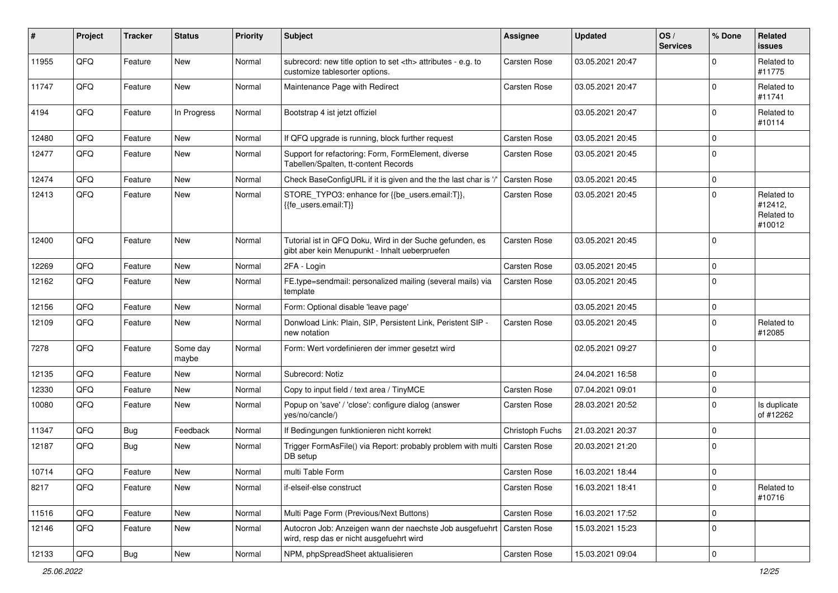| $\vert$ # | Project | <b>Tracker</b> | <b>Status</b>     | <b>Priority</b> | <b>Subject</b>                                                                                                      | <b>Assignee</b>                                        | <b>Updated</b>   | OS/<br><b>Services</b> | % Done      | Related<br><b>issues</b>                      |                      |
|-----------|---------|----------------|-------------------|-----------------|---------------------------------------------------------------------------------------------------------------------|--------------------------------------------------------|------------------|------------------------|-------------|-----------------------------------------------|----------------------|
| 11955     | QFQ     | Feature        | New               | Normal          | subrecord: new title option to set <th> attributes - e.g. to<br/>customize tablesorter options.</th>                | attributes - e.g. to<br>customize tablesorter options. | Carsten Rose     | 03.05.2021 20:47       |             | $\Omega$                                      | Related to<br>#11775 |
| 11747     | QFQ     | Feature        | New               | Normal          | Maintenance Page with Redirect                                                                                      | <b>Carsten Rose</b>                                    | 03.05.2021 20:47 |                        | $\mathbf 0$ | Related to<br>#11741                          |                      |
| 4194      | QFQ     | Feature        | In Progress       | Normal          | Bootstrap 4 ist jetzt offiziel                                                                                      |                                                        | 03.05.2021 20:47 |                        | $\mathbf 0$ | Related to<br>#10114                          |                      |
| 12480     | QFQ     | Feature        | New               | Normal          | If QFQ upgrade is running, block further request                                                                    | <b>Carsten Rose</b>                                    | 03.05.2021 20:45 |                        | 0           |                                               |                      |
| 12477     | QFQ     | Feature        | <b>New</b>        | Normal          | Support for refactoring: Form, FormElement, diverse<br>Tabellen/Spalten, tt-content Records                         | Carsten Rose                                           | 03.05.2021 20:45 |                        | $\mathbf 0$ |                                               |                      |
| 12474     | QFQ     | Feature        | <b>New</b>        | Normal          | Check BaseConfigURL if it is given and the the last char is '/'                                                     | <b>Carsten Rose</b>                                    | 03.05.2021 20:45 |                        | $\mathbf 0$ |                                               |                      |
| 12413     | QFQ     | Feature        | New               | Normal          | STORE_TYPO3: enhance for {{be_users.email:T}},<br>{{fe users.email:T}}                                              | <b>Carsten Rose</b>                                    | 03.05.2021 20:45 |                        | $\mathbf 0$ | Related to<br>#12412,<br>Related to<br>#10012 |                      |
| 12400     | QFQ     | Feature        | New               | Normal          | Tutorial ist in QFQ Doku, Wird in der Suche gefunden, es<br>gibt aber kein Menupunkt - Inhalt ueberpruefen          | Carsten Rose                                           | 03.05.2021 20:45 |                        | $\mathbf 0$ |                                               |                      |
| 12269     | QFQ     | Feature        | <b>New</b>        | Normal          | 2FA - Login                                                                                                         | <b>Carsten Rose</b>                                    | 03.05.2021 20:45 |                        | 0           |                                               |                      |
| 12162     | QFQ     | Feature        | New               | Normal          | FE.type=sendmail: personalized mailing (several mails) via<br>template                                              | Carsten Rose                                           | 03.05.2021 20:45 |                        | $\mathbf 0$ |                                               |                      |
| 12156     | QFQ     | Feature        | <b>New</b>        | Normal          | Form: Optional disable 'leave page'                                                                                 |                                                        | 03.05.2021 20:45 |                        | $\mathbf 0$ |                                               |                      |
| 12109     | QFQ     | Feature        | New               | Normal          | Donwload Link: Plain, SIP, Persistent Link, Peristent SIP -<br>new notation                                         | <b>Carsten Rose</b>                                    | 03.05.2021 20:45 |                        | $\mathbf 0$ | Related to<br>#12085                          |                      |
| 7278      | QFQ     | Feature        | Some day<br>maybe | Normal          | Form: Wert vordefinieren der immer gesetzt wird                                                                     |                                                        | 02.05.2021 09:27 |                        | $\mathbf 0$ |                                               |                      |
| 12135     | QFQ     | Feature        | <b>New</b>        | Normal          | Subrecord: Notiz                                                                                                    |                                                        | 24.04.2021 16:58 |                        | 0           |                                               |                      |
| 12330     | QFQ     | Feature        | New               | Normal          | Copy to input field / text area / TinyMCE                                                                           | Carsten Rose                                           | 07.04.2021 09:01 |                        | 0           |                                               |                      |
| 10080     | QFQ     | Feature        | <b>New</b>        | Normal          | Popup on 'save' / 'close': configure dialog (answer<br>yes/no/cancle/)                                              | Carsten Rose                                           | 28.03.2021 20:52 |                        | $\mathbf 0$ | Is duplicate<br>of #12262                     |                      |
| 11347     | QFQ     | <b>Bug</b>     | Feedback          | Normal          | If Bedingungen funktionieren nicht korrekt                                                                          | Christoph Fuchs                                        | 21.03.2021 20:37 |                        | $\mathbf 0$ |                                               |                      |
| 12187     | QFQ     | Bug            | <b>New</b>        | Normal          | Trigger FormAsFile() via Report: probably problem with multi<br>DB setup                                            | Carsten Rose                                           | 20.03.2021 21:20 |                        | $\mathbf 0$ |                                               |                      |
| 10714     | QFQ     | Feature        | New               | Normal          | multi Table Form                                                                                                    | Carsten Rose                                           | 16.03.2021 18:44 |                        | $\mathbf 0$ |                                               |                      |
| 8217      | QFQ     | Feature        | New               | Normal          | if-elseif-else construct                                                                                            | Carsten Rose                                           | 16.03.2021 18:41 |                        | $\mathbf 0$ | Related to<br>#10716                          |                      |
| 11516     | QFQ     | Feature        | New               | Normal          | Multi Page Form (Previous/Next Buttons)                                                                             | Carsten Rose                                           | 16.03.2021 17:52 |                        | 0           |                                               |                      |
| 12146     | QFQ     | Feature        | New               | Normal          | Autocron Job: Anzeigen wann der naechste Job ausgefuehrt   Carsten Rose<br>wird, resp das er nicht ausgefuehrt wird |                                                        | 15.03.2021 15:23 |                        | $\mathbf 0$ |                                               |                      |
| 12133     | QFG     | <b>Bug</b>     | New               | Normal          | NPM, phpSpreadSheet aktualisieren                                                                                   | Carsten Rose                                           | 15.03.2021 09:04 |                        | $\pmb{0}$   |                                               |                      |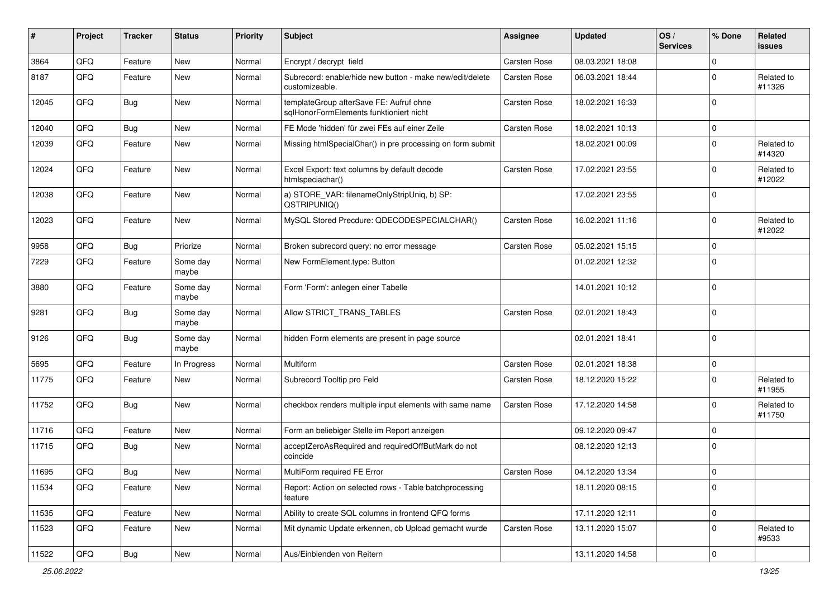| ∦     | Project | <b>Tracker</b> | <b>Status</b>     | <b>Priority</b> | <b>Subject</b>                                                                     | <b>Assignee</b>     | <b>Updated</b>   | OS/<br><b>Services</b> | % Done   | Related<br><b>issues</b> |
|-------|---------|----------------|-------------------|-----------------|------------------------------------------------------------------------------------|---------------------|------------------|------------------------|----------|--------------------------|
| 3864  | QFQ     | Feature        | New               | Normal          | Encrypt / decrypt field                                                            | Carsten Rose        | 08.03.2021 18:08 |                        | 0        |                          |
| 8187  | QFQ     | Feature        | New               | Normal          | Subrecord: enable/hide new button - make new/edit/delete<br>customizeable.         | Carsten Rose        | 06.03.2021 18:44 |                        | 0        | Related to<br>#11326     |
| 12045 | QFQ     | Bug            | New               | Normal          | templateGroup afterSave FE: Aufruf ohne<br>sglHonorFormElements funktioniert nicht | Carsten Rose        | 18.02.2021 16:33 |                        | 0        |                          |
| 12040 | QFQ     | Bug            | New               | Normal          | FE Mode 'hidden' für zwei FEs auf einer Zeile                                      | <b>Carsten Rose</b> | 18.02.2021 10:13 |                        | 0        |                          |
| 12039 | QFQ     | Feature        | New               | Normal          | Missing htmlSpecialChar() in pre processing on form submit                         |                     | 18.02.2021 00:09 |                        | 0        | Related to<br>#14320     |
| 12024 | QFQ     | Feature        | <b>New</b>        | Normal          | Excel Export: text columns by default decode<br>htmlspeciachar()                   | Carsten Rose        | 17.02.2021 23:55 |                        | 0        | Related to<br>#12022     |
| 12038 | QFQ     | Feature        | <b>New</b>        | Normal          | a) STORE_VAR: filenameOnlyStripUniq, b) SP:<br>QSTRIPUNIQ()                        |                     | 17.02.2021 23:55 |                        | 0        |                          |
| 12023 | QFQ     | Feature        | New               | Normal          | MySQL Stored Precdure: QDECODESPECIALCHAR()                                        | Carsten Rose        | 16.02.2021 11:16 |                        | 0        | Related to<br>#12022     |
| 9958  | QFQ     | <b>Bug</b>     | Priorize          | Normal          | Broken subrecord query: no error message                                           | <b>Carsten Rose</b> | 05.02.2021 15:15 |                        | 0        |                          |
| 7229  | QFQ     | Feature        | Some day<br>maybe | Normal          | New FormElement.type: Button                                                       |                     | 01.02.2021 12:32 |                        | 0        |                          |
| 3880  | QFQ     | Feature        | Some day<br>maybe | Normal          | Form 'Form': anlegen einer Tabelle                                                 |                     | 14.01.2021 10:12 |                        | 0        |                          |
| 9281  | QFQ     | Bug            | Some day<br>maybe | Normal          | Allow STRICT_TRANS_TABLES                                                          | Carsten Rose        | 02.01.2021 18:43 |                        | 0        |                          |
| 9126  | QFQ     | Bug            | Some day<br>maybe | Normal          | hidden Form elements are present in page source                                    |                     | 02.01.2021 18:41 |                        | 0        |                          |
| 5695  | QFQ     | Feature        | In Progress       | Normal          | Multiform                                                                          | <b>Carsten Rose</b> | 02.01.2021 18:38 |                        | 0        |                          |
| 11775 | QFQ     | Feature        | New               | Normal          | Subrecord Tooltip pro Feld                                                         | <b>Carsten Rose</b> | 18.12.2020 15:22 |                        | $\Omega$ | Related to<br>#11955     |
| 11752 | QFQ     | <b>Bug</b>     | <b>New</b>        | Normal          | checkbox renders multiple input elements with same name                            | Carsten Rose        | 17.12.2020 14:58 |                        | 0        | Related to<br>#11750     |
| 11716 | QFQ     | Feature        | <b>New</b>        | Normal          | Form an beliebiger Stelle im Report anzeigen                                       |                     | 09.12.2020 09:47 |                        | 0        |                          |
| 11715 | QFQ     | Bug            | New               | Normal          | acceptZeroAsRequired and requiredOffButMark do not<br>coincide                     |                     | 08.12.2020 12:13 |                        | 0        |                          |
| 11695 | QFQ     | Bug            | <b>New</b>        | Normal          | MultiForm required FE Error                                                        | <b>Carsten Rose</b> | 04.12.2020 13:34 |                        | $\Omega$ |                          |
| 11534 | QFQ     | Feature        | New               | Normal          | Report: Action on selected rows - Table batchprocessing<br>feature                 |                     | 18.11.2020 08:15 |                        | 0        |                          |
| 11535 | QFQ     | Feature        | New               | Normal          | Ability to create SQL columns in frontend QFQ forms                                |                     | 17.11.2020 12:11 |                        | 0        |                          |
| 11523 | QFQ     | Feature        | New               | Normal          | Mit dynamic Update erkennen, ob Upload gemacht wurde                               | Carsten Rose        | 13.11.2020 15:07 |                        | 0        | Related to<br>#9533      |
| 11522 | QFG     | Bug            | New               | Normal          | Aus/Einblenden von Reitern                                                         |                     | 13.11.2020 14:58 |                        | 0        |                          |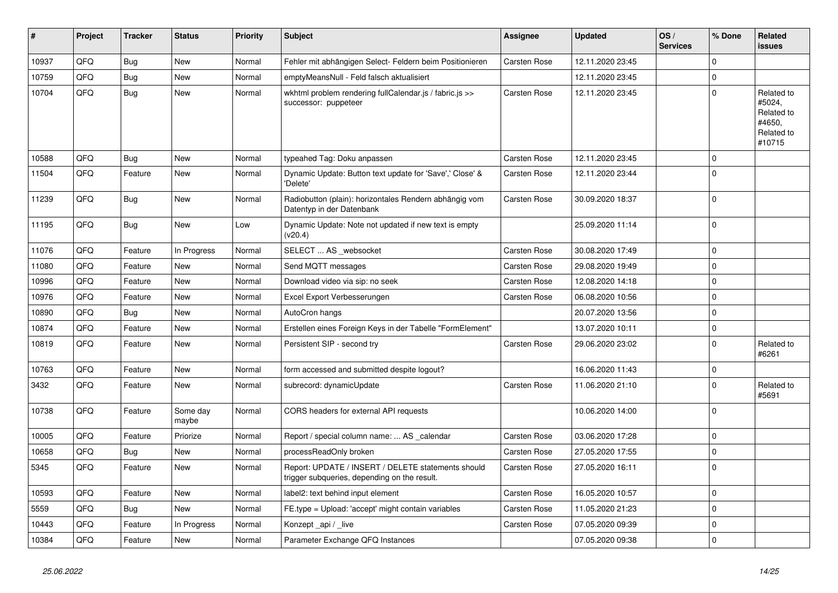| #     | Project | <b>Tracker</b> | <b>Status</b>     | <b>Priority</b> | <b>Subject</b>                                                                                     | <b>Assignee</b> | <b>Updated</b>   | OS/<br><b>Services</b> | % Done      | Related<br>issues                                                    |
|-------|---------|----------------|-------------------|-----------------|----------------------------------------------------------------------------------------------------|-----------------|------------------|------------------------|-------------|----------------------------------------------------------------------|
| 10937 | QFQ     | <b>Bug</b>     | <b>New</b>        | Normal          | Fehler mit abhängigen Select- Feldern beim Positionieren                                           | Carsten Rose    | 12.11.2020 23:45 |                        | $\Omega$    |                                                                      |
| 10759 | QFQ     | <b>Bug</b>     | <b>New</b>        | Normal          | emptyMeansNull - Feld falsch aktualisiert                                                          |                 | 12.11.2020 23:45 |                        | $\Omega$    |                                                                      |
| 10704 | QFQ     | <b>Bug</b>     | <b>New</b>        | Normal          | wkhtml problem rendering fullCalendar.js / fabric.js >><br>successor: puppeteer                    | Carsten Rose    | 12.11.2020 23:45 |                        | $\Omega$    | Related to<br>#5024,<br>Related to<br>#4650.<br>Related to<br>#10715 |
| 10588 | QFQ     | Bug            | New               | Normal          | typeahed Tag: Doku anpassen                                                                        | Carsten Rose    | 12.11.2020 23:45 |                        | $\Omega$    |                                                                      |
| 11504 | QFQ     | Feature        | New               | Normal          | Dynamic Update: Button text update for 'Save',' Close' &<br>'Delete'                               | Carsten Rose    | 12.11.2020 23:44 |                        | $\Omega$    |                                                                      |
| 11239 | QFQ     | Bug            | New               | Normal          | Radiobutton (plain): horizontales Rendern abhängig vom<br>Datentyp in der Datenbank                | Carsten Rose    | 30.09.2020 18:37 |                        | $\Omega$    |                                                                      |
| 11195 | QFQ     | <b>Bug</b>     | <b>New</b>        | Low             | Dynamic Update: Note not updated if new text is empty<br>(v20.4)                                   |                 | 25.09.2020 11:14 |                        | $\Omega$    |                                                                      |
| 11076 | QFQ     | Feature        | In Progress       | Normal          | SELECT  AS websocket                                                                               | Carsten Rose    | 30.08.2020 17:49 |                        | $\mathbf 0$ |                                                                      |
| 11080 | QFQ     | Feature        | New               | Normal          | Send MQTT messages                                                                                 | Carsten Rose    | 29.08.2020 19:49 |                        | $\Omega$    |                                                                      |
| 10996 | QFQ     | Feature        | <b>New</b>        | Normal          | Download video via sip: no seek                                                                    | Carsten Rose    | 12.08.2020 14:18 |                        | $\mathbf 0$ |                                                                      |
| 10976 | QFQ     | Feature        | New               | Normal          | Excel Export Verbesserungen                                                                        | Carsten Rose    | 06.08.2020 10:56 |                        | $\Omega$    |                                                                      |
| 10890 | QFQ     | <b>Bug</b>     | New               | Normal          | AutoCron hangs                                                                                     |                 | 20.07.2020 13:56 |                        | 0           |                                                                      |
| 10874 | QFQ     | Feature        | New               | Normal          | Erstellen eines Foreign Keys in der Tabelle "FormElement"                                          |                 | 13.07.2020 10:11 |                        | $\Omega$    |                                                                      |
| 10819 | QFQ     | Feature        | New               | Normal          | Persistent SIP - second try                                                                        | Carsten Rose    | 29.06.2020 23:02 |                        | $\mathbf 0$ | Related to<br>#6261                                                  |
| 10763 | QFQ     | Feature        | <b>New</b>        | Normal          | form accessed and submitted despite logout?                                                        |                 | 16.06.2020 11:43 |                        | $\Omega$    |                                                                      |
| 3432  | QFQ     | Feature        | New               | Normal          | subrecord: dynamicUpdate                                                                           | Carsten Rose    | 11.06.2020 21:10 |                        | $\Omega$    | Related to<br>#5691                                                  |
| 10738 | QFQ     | Feature        | Some day<br>maybe | Normal          | CORS headers for external API requests                                                             |                 | 10.06.2020 14:00 |                        | $\Omega$    |                                                                      |
| 10005 | QFQ     | Feature        | Priorize          | Normal          | Report / special column name:  AS _calendar                                                        | Carsten Rose    | 03.06.2020 17:28 |                        | $\Omega$    |                                                                      |
| 10658 | QFQ     | <b>Bug</b>     | <b>New</b>        | Normal          | processReadOnly broken                                                                             | Carsten Rose    | 27.05.2020 17:55 |                        | 0           |                                                                      |
| 5345  | QFQ     | Feature        | New               | Normal          | Report: UPDATE / INSERT / DELETE statements should<br>trigger subqueries, depending on the result. | Carsten Rose    | 27.05.2020 16:11 |                        | $\Omega$    |                                                                      |
| 10593 | QFQ     | Feature        | New               | Normal          | label2: text behind input element                                                                  | Carsten Rose    | 16.05.2020 10:57 |                        | $\mathbf 0$ |                                                                      |
| 5559  | QFQ     | Bug            | New               | Normal          | FE.type = Upload: 'accept' might contain variables                                                 | Carsten Rose    | 11.05.2020 21:23 |                        | $\Omega$    |                                                                      |
| 10443 | QFQ     | Feature        | In Progress       | Normal          | Konzept api / live                                                                                 | Carsten Rose    | 07.05.2020 09:39 |                        | $\Omega$    |                                                                      |
| 10384 | QFQ     | Feature        | New               | Normal          | Parameter Exchange QFQ Instances                                                                   |                 | 07.05.2020 09:38 |                        | $\Omega$    |                                                                      |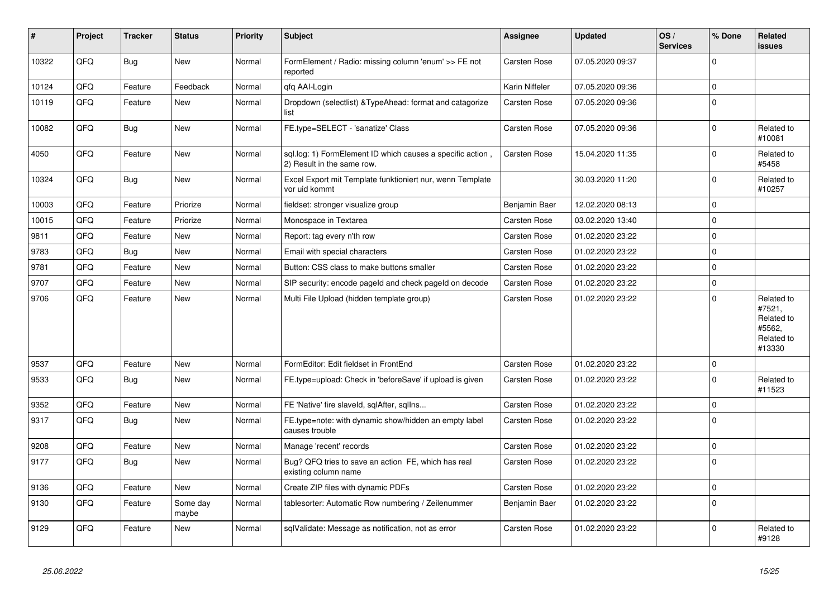| #     | Project | <b>Tracker</b> | <b>Status</b>     | <b>Priority</b> | <b>Subject</b>                                                                           | <b>Assignee</b>     | <b>Updated</b>   | OS/<br><b>Services</b> | % Done      | <b>Related</b><br><b>issues</b>                                      |
|-------|---------|----------------|-------------------|-----------------|------------------------------------------------------------------------------------------|---------------------|------------------|------------------------|-------------|----------------------------------------------------------------------|
| 10322 | QFQ     | <b>Bug</b>     | <b>New</b>        | Normal          | FormElement / Radio: missing column 'enum' >> FE not<br>reported                         | Carsten Rose        | 07.05.2020 09:37 |                        | $\Omega$    |                                                                      |
| 10124 | QFQ     | Feature        | Feedback          | Normal          | qfq AAI-Login                                                                            | Karin Niffeler      | 07.05.2020 09:36 |                        | $\Omega$    |                                                                      |
| 10119 | QFQ     | Feature        | <b>New</b>        | Normal          | Dropdown (selectlist) & Type Ahead: format and catagorize<br>list                        | Carsten Rose        | 07.05.2020 09:36 |                        | $\Omega$    |                                                                      |
| 10082 | QFQ     | <b>Bug</b>     | <b>New</b>        | Normal          | FE.type=SELECT - 'sanatize' Class                                                        | Carsten Rose        | 07.05.2020 09:36 |                        | $\Omega$    | Related to<br>#10081                                                 |
| 4050  | QFQ     | Feature        | <b>New</b>        | Normal          | sql.log: 1) FormElement ID which causes a specific action,<br>2) Result in the same row. | Carsten Rose        | 15.04.2020 11:35 |                        | $\Omega$    | Related to<br>#5458                                                  |
| 10324 | QFQ     | Bug            | New               | Normal          | Excel Export mit Template funktioniert nur, wenn Template<br>vor uid kommt               |                     | 30.03.2020 11:20 |                        | $\Omega$    | Related to<br>#10257                                                 |
| 10003 | QFQ     | Feature        | Priorize          | Normal          | fieldset: stronger visualize group                                                       | Benjamin Baer       | 12.02.2020 08:13 |                        | 0           |                                                                      |
| 10015 | QFQ     | Feature        | Priorize          | Normal          | Monospace in Textarea                                                                    | <b>Carsten Rose</b> | 03.02.2020 13:40 |                        | $\mathbf 0$ |                                                                      |
| 9811  | QFQ     | Feature        | <b>New</b>        | Normal          | Report: tag every n'th row                                                               | Carsten Rose        | 01.02.2020 23:22 |                        | $\Omega$    |                                                                      |
| 9783  | QFQ     | <b>Bug</b>     | <b>New</b>        | Normal          | Email with special characters                                                            | <b>Carsten Rose</b> | 01.02.2020 23:22 |                        | $\Omega$    |                                                                      |
| 9781  | QFQ     | Feature        | <b>New</b>        | Normal          | Button: CSS class to make buttons smaller                                                | Carsten Rose        | 01.02.2020 23:22 |                        | $\Omega$    |                                                                      |
| 9707  | QFQ     | Feature        | <b>New</b>        | Normal          | SIP security: encode pageld and check pageld on decode                                   | Carsten Rose        | 01.02.2020 23:22 |                        | $\mathbf 0$ |                                                                      |
| 9706  | QFQ     | Feature        | <b>New</b>        | Normal          | Multi File Upload (hidden template group)                                                | Carsten Rose        | 01.02.2020 23:22 |                        | $\Omega$    | Related to<br>#7521,<br>Related to<br>#5562,<br>Related to<br>#13330 |
| 9537  | QFQ     | Feature        | <b>New</b>        | Normal          | FormEditor: Edit fieldset in FrontEnd                                                    | <b>Carsten Rose</b> | 01.02.2020 23:22 |                        | $\Omega$    |                                                                      |
| 9533  | QFQ     | Bug            | <b>New</b>        | Normal          | FE.type=upload: Check in 'beforeSave' if upload is given                                 | Carsten Rose        | 01.02.2020 23:22 |                        | $\mathbf 0$ | Related to<br>#11523                                                 |
| 9352  | QFQ     | Feature        | <b>New</b>        | Normal          | FE 'Native' fire slaveld, sqlAfter, sqllns                                               | Carsten Rose        | 01.02.2020 23:22 |                        | $\Omega$    |                                                                      |
| 9317  | QFQ     | <b>Bug</b>     | New               | Normal          | FE.type=note: with dynamic show/hidden an empty label<br>causes trouble                  | Carsten Rose        | 01.02.2020 23:22 |                        | $\Omega$    |                                                                      |
| 9208  | QFQ     | Feature        | <b>New</b>        | Normal          | Manage 'recent' records                                                                  | <b>Carsten Rose</b> | 01.02.2020 23:22 |                        | $\mathbf 0$ |                                                                      |
| 9177  | QFQ     | <b>Bug</b>     | New               | Normal          | Bug? QFQ tries to save an action FE, which has real<br>existing column name              | Carsten Rose        | 01.02.2020 23:22 |                        | $\Omega$    |                                                                      |
| 9136  | QFQ     | Feature        | <b>New</b>        | Normal          | Create ZIP files with dynamic PDFs                                                       | Carsten Rose        | 01.02.2020 23:22 |                        | $\mathbf 0$ |                                                                      |
| 9130  | QFQ     | Feature        | Some day<br>maybe | Normal          | tablesorter: Automatic Row numbering / Zeilenummer                                       | Benjamin Baer       | 01.02.2020 23:22 |                        | $\mathbf 0$ |                                                                      |
| 9129  | QFQ     | Feature        | <b>New</b>        | Normal          | sqlValidate: Message as notification, not as error                                       | <b>Carsten Rose</b> | 01.02.2020 23:22 |                        | $\mathbf 0$ | Related to<br>#9128                                                  |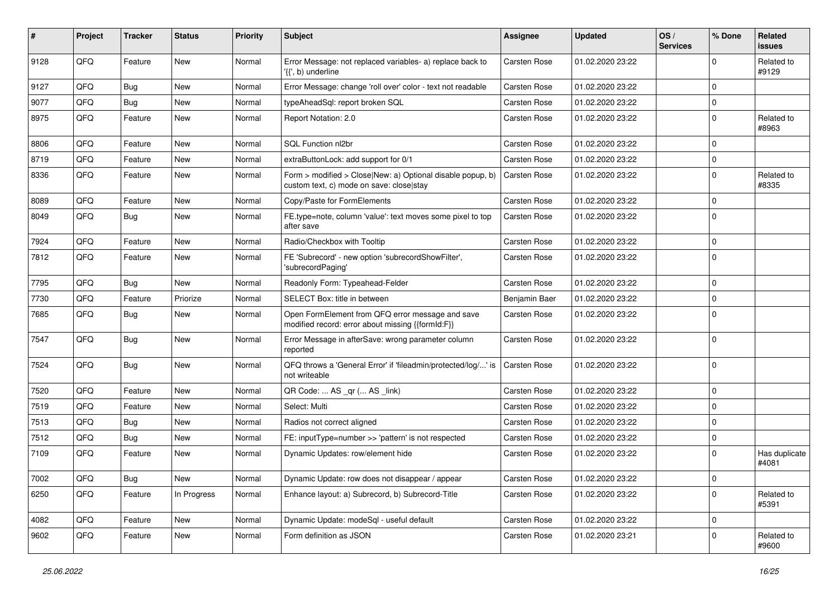| #    | Project | <b>Tracker</b> | <b>Status</b> | <b>Priority</b> | Subject                                                                                                | <b>Assignee</b>     | <b>Updated</b>   | OS/<br><b>Services</b> | % Done | Related<br><b>issues</b> |
|------|---------|----------------|---------------|-----------------|--------------------------------------------------------------------------------------------------------|---------------------|------------------|------------------------|--------|--------------------------|
| 9128 | QFQ     | Feature        | <b>New</b>    | Normal          | Error Message: not replaced variables- a) replace back to<br>'{{', b) underline                        | <b>Carsten Rose</b> | 01.02.2020 23:22 |                        | 0      | Related to<br>#9129      |
| 9127 | QFQ     | Bug            | <b>New</b>    | Normal          | Error Message: change 'roll over' color - text not readable                                            | <b>Carsten Rose</b> | 01.02.2020 23:22 |                        | 0      |                          |
| 9077 | QFQ     | Bug            | New           | Normal          | typeAheadSql: report broken SQL                                                                        | Carsten Rose        | 01.02.2020 23:22 |                        | 0      |                          |
| 8975 | QFQ     | Feature        | New           | Normal          | Report Notation: 2.0                                                                                   | Carsten Rose        | 01.02.2020 23:22 |                        | 0      | Related to<br>#8963      |
| 8806 | QFQ     | Feature        | <b>New</b>    | Normal          | SQL Function nl2br                                                                                     | Carsten Rose        | 01.02.2020 23:22 |                        | 0      |                          |
| 8719 | QFQ     | Feature        | New           | Normal          | extraButtonLock: add support for 0/1                                                                   | Carsten Rose        | 01.02.2020 23:22 |                        | 0      |                          |
| 8336 | QFQ     | Feature        | <b>New</b>    | Normal          | Form > modified > Close New: a) Optional disable popup, b)<br>custom text, c) mode on save: close stay | <b>Carsten Rose</b> | 01.02.2020 23:22 |                        | 0      | Related to<br>#8335      |
| 8089 | QFQ     | Feature        | New           | Normal          | Copy/Paste for FormElements                                                                            | Carsten Rose        | 01.02.2020 23:22 |                        | 0      |                          |
| 8049 | QFQ     | Bug            | <b>New</b>    | Normal          | FE.type=note, column 'value': text moves some pixel to top<br>after save                               | Carsten Rose        | 01.02.2020 23:22 |                        | 0      |                          |
| 7924 | QFQ     | Feature        | New           | Normal          | Radio/Checkbox with Tooltip                                                                            | <b>Carsten Rose</b> | 01.02.2020 23:22 |                        | 0      |                          |
| 7812 | QFQ     | Feature        | <b>New</b>    | Normal          | FE 'Subrecord' - new option 'subrecordShowFilter',<br>'subrecordPaging'                                | Carsten Rose        | 01.02.2020 23:22 |                        | 0      |                          |
| 7795 | QFQ     | Bug            | <b>New</b>    | Normal          | Readonly Form: Typeahead-Felder                                                                        | <b>Carsten Rose</b> | 01.02.2020 23:22 |                        | 0      |                          |
| 7730 | QFQ     | Feature        | Priorize      | Normal          | SELECT Box: title in between                                                                           | Benjamin Baer       | 01.02.2020 23:22 |                        | 0      |                          |
| 7685 | QFQ     | Bug            | New           | Normal          | Open FormElement from QFQ error message and save<br>modified record: error about missing {{formId:F}}  | Carsten Rose        | 01.02.2020 23:22 |                        | 0      |                          |
| 7547 | QFQ     | Bug            | New           | Normal          | Error Message in afterSave: wrong parameter column<br>reported                                         | Carsten Rose        | 01.02.2020 23:22 |                        | 0      |                          |
| 7524 | QFQ     | Bug            | New           | Normal          | QFQ throws a 'General Error' if 'fileadmin/protected/log/' is<br>not writeable                         | Carsten Rose        | 01.02.2020 23:22 |                        | 0      |                          |
| 7520 | QFQ     | Feature        | <b>New</b>    | Normal          | QR Code:  AS _qr ( AS _link)                                                                           | Carsten Rose        | 01.02.2020 23:22 |                        | 0      |                          |
| 7519 | QFQ     | Feature        | New           | Normal          | Select: Multi                                                                                          | Carsten Rose        | 01.02.2020 23:22 |                        | 0      |                          |
| 7513 | QFQ     | Bug            | <b>New</b>    | Normal          | Radios not correct aligned                                                                             | Carsten Rose        | 01.02.2020 23:22 |                        | 0      |                          |
| 7512 | QFQ     | Bug            | <b>New</b>    | Normal          | FE: inputType=number >> 'pattern' is not respected                                                     | <b>Carsten Rose</b> | 01.02.2020 23:22 |                        | 0      |                          |
| 7109 | QFQ     | Feature        | New           | Normal          | Dynamic Updates: row/element hide                                                                      | Carsten Rose        | 01.02.2020 23:22 |                        | 0      | Has duplicate<br>#4081   |
| 7002 | QFO     | <b>Bug</b>     | <b>New</b>    | Normal          | Dynamic Update: row does not disappear / appear                                                        | Carsten Rose        | 01.02.2020 23:22 |                        | 0      |                          |
| 6250 | QFQ     | Feature        | In Progress   | Normal          | Enhance layout: a) Subrecord, b) Subrecord-Title                                                       | Carsten Rose        | 01.02.2020 23:22 |                        | 0      | Related to<br>#5391      |
| 4082 | QFQ     | Feature        | New           | Normal          | Dynamic Update: modeSql - useful default                                                               | Carsten Rose        | 01.02.2020 23:22 |                        | 0      |                          |
| 9602 | QFQ     | Feature        | New           | Normal          | Form definition as JSON                                                                                | Carsten Rose        | 01.02.2020 23:21 |                        | 0      | Related to<br>#9600      |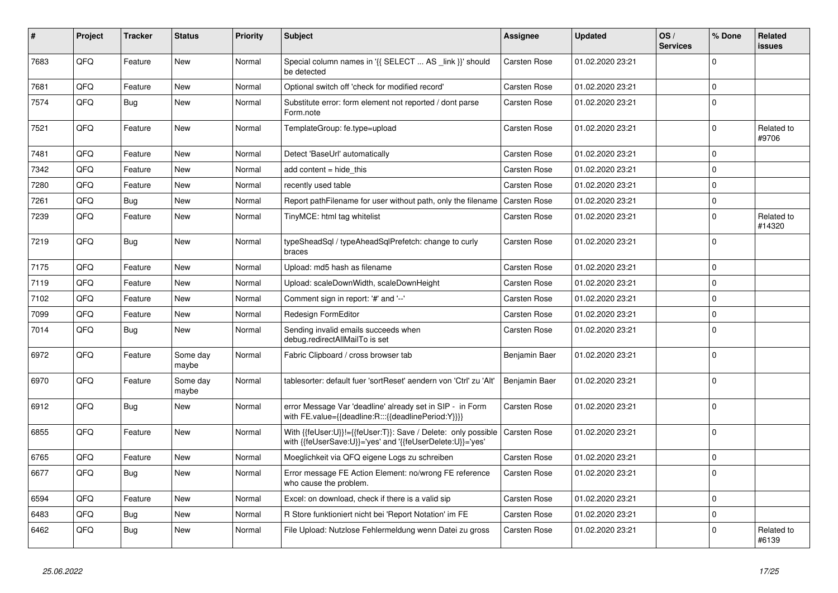| #    | Project | <b>Tracker</b> | <b>Status</b>     | <b>Priority</b> | <b>Subject</b>                                                                                                             | <b>Assignee</b>     | <b>Updated</b>   | OS/<br><b>Services</b> | % Done      | Related<br>issues    |
|------|---------|----------------|-------------------|-----------------|----------------------------------------------------------------------------------------------------------------------------|---------------------|------------------|------------------------|-------------|----------------------|
| 7683 | QFQ     | Feature        | <b>New</b>        | Normal          | Special column names in '{{ SELECT  AS _link }}' should<br>be detected                                                     | Carsten Rose        | 01.02.2020 23:21 |                        | $\Omega$    |                      |
| 7681 | QFQ     | Feature        | New               | Normal          | Optional switch off 'check for modified record'                                                                            | Carsten Rose        | 01.02.2020 23:21 |                        | $\mathbf 0$ |                      |
| 7574 | QFQ     | <b>Bug</b>     | <b>New</b>        | Normal          | Substitute error: form element not reported / dont parse<br>Form.note                                                      | Carsten Rose        | 01.02.2020 23:21 |                        | $\Omega$    |                      |
| 7521 | QFQ     | Feature        | New               | Normal          | TemplateGroup: fe.type=upload                                                                                              | Carsten Rose        | 01.02.2020 23:21 |                        | $\Omega$    | Related to<br>#9706  |
| 7481 | QFQ     | Feature        | New               | Normal          | Detect 'BaseUrl' automatically                                                                                             | Carsten Rose        | 01.02.2020 23:21 |                        | $\Omega$    |                      |
| 7342 | QFQ     | Feature        | <b>New</b>        | Normal          | add content $=$ hide this                                                                                                  | <b>Carsten Rose</b> | 01.02.2020 23:21 |                        | $\Omega$    |                      |
| 7280 | QFQ     | Feature        | <b>New</b>        | Normal          | recently used table                                                                                                        | Carsten Rose        | 01.02.2020 23:21 |                        | $\Omega$    |                      |
| 7261 | QFQ     | <b>Bug</b>     | <b>New</b>        | Normal          | Report pathFilename for user without path, only the filename                                                               | <b>Carsten Rose</b> | 01.02.2020 23:21 |                        | $\Omega$    |                      |
| 7239 | QFQ     | Feature        | New               | Normal          | TinyMCE: html tag whitelist                                                                                                | Carsten Rose        | 01.02.2020 23:21 |                        | $\Omega$    | Related to<br>#14320 |
| 7219 | QFQ     | <b>Bug</b>     | <b>New</b>        | Normal          | typeSheadSql / typeAheadSqlPrefetch: change to curly<br>braces                                                             | Carsten Rose        | 01.02.2020 23:21 |                        | $\Omega$    |                      |
| 7175 | QFQ     | Feature        | <b>New</b>        | Normal          | Upload: md5 hash as filename                                                                                               | Carsten Rose        | 01.02.2020 23:21 |                        | $\mathbf 0$ |                      |
| 7119 | QFQ     | Feature        | New               | Normal          | Upload: scaleDownWidth, scaleDownHeight                                                                                    | <b>Carsten Rose</b> | 01.02.2020 23:21 |                        | $\Omega$    |                      |
| 7102 | QFQ     | Feature        | <b>New</b>        | Normal          | Comment sign in report: '#' and '--'                                                                                       | Carsten Rose        | 01.02.2020 23:21 |                        | $\Omega$    |                      |
| 7099 | QFQ     | Feature        | New               | Normal          | Redesign FormEditor                                                                                                        | Carsten Rose        | 01.02.2020 23:21 |                        | $\Omega$    |                      |
| 7014 | QFQ     | <b>Bug</b>     | <b>New</b>        | Normal          | Sending invalid emails succeeds when<br>debug.redirectAllMailTo is set                                                     | Carsten Rose        | 01.02.2020 23:21 |                        | $\Omega$    |                      |
| 6972 | QFQ     | Feature        | Some day<br>maybe | Normal          | Fabric Clipboard / cross browser tab                                                                                       | Benjamin Baer       | 01.02.2020 23:21 |                        | $\Omega$    |                      |
| 6970 | QFQ     | Feature        | Some day<br>maybe | Normal          | tablesorter: default fuer 'sortReset' aendern von 'Ctrl' zu 'Alt'                                                          | Benjamin Baer       | 01.02.2020 23:21 |                        | $\Omega$    |                      |
| 6912 | QFQ     | <b>Bug</b>     | <b>New</b>        | Normal          | error Message Var 'deadline' already set in SIP - in Form<br>with FE.value={{deadline:R:::{{deadlinePeriod:Y}}}}           | Carsten Rose        | 01.02.2020 23:21 |                        | $\Omega$    |                      |
| 6855 | QFQ     | Feature        | New               | Normal          | With {{feUser:U}}!={{feUser:T}}: Save / Delete: only possible<br>with {{feUserSave:U}}='yes' and '{{feUserDelete:U}}='yes' | Carsten Rose        | 01.02.2020 23:21 |                        | $\Omega$    |                      |
| 6765 | QFQ     | Feature        | <b>New</b>        | Normal          | Moeglichkeit via QFQ eigene Logs zu schreiben                                                                              | Carsten Rose        | 01.02.2020 23:21 |                        | $\Omega$    |                      |
| 6677 | QFQ     | Bug            | New               | Normal          | Error message FE Action Element: no/wrong FE reference<br>who cause the problem.                                           | Carsten Rose        | 01.02.2020 23:21 |                        | $\Omega$    |                      |
| 6594 | QFQ     | Feature        | <b>New</b>        | Normal          | Excel: on download, check if there is a valid sip                                                                          | Carsten Rose        | 01.02.2020 23:21 |                        | $\Omega$    |                      |
| 6483 | QFQ     | <b>Bug</b>     | <b>New</b>        | Normal          | R Store funktioniert nicht bei 'Report Notation' im FE                                                                     | Carsten Rose        | 01.02.2020 23:21 |                        | $\Omega$    |                      |
| 6462 | QFQ     | Bug            | <b>New</b>        | Normal          | File Upload: Nutzlose Fehlermeldung wenn Datei zu gross                                                                    | <b>Carsten Rose</b> | 01.02.2020 23:21 |                        | $\Omega$    | Related to<br>#6139  |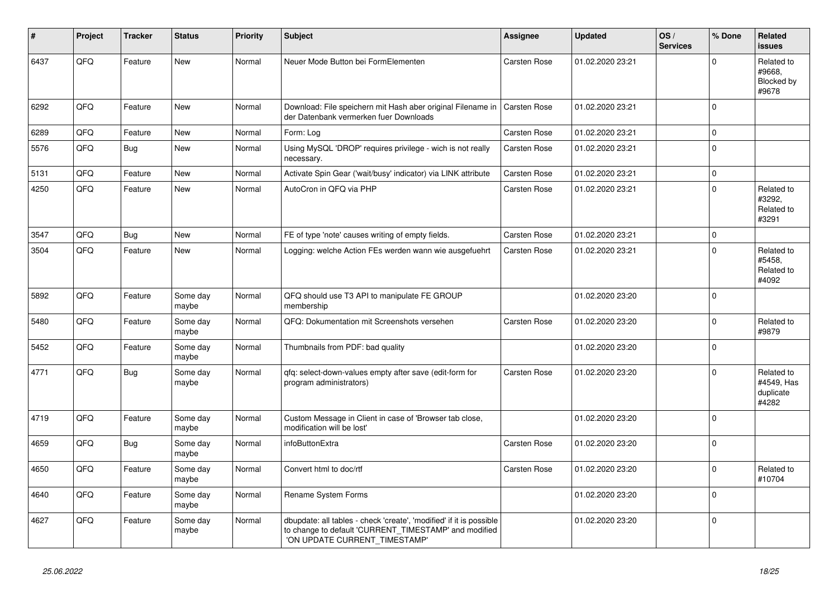| #    | Project | <b>Tracker</b> | <b>Status</b>     | <b>Priority</b> | <b>Subject</b>                                                                                                                                                | <b>Assignee</b>     | <b>Updated</b>   | OS/<br><b>Services</b> | % Done         | <b>Related</b><br><b>issues</b>                |
|------|---------|----------------|-------------------|-----------------|---------------------------------------------------------------------------------------------------------------------------------------------------------------|---------------------|------------------|------------------------|----------------|------------------------------------------------|
| 6437 | QFQ     | Feature        | <b>New</b>        | Normal          | Neuer Mode Button bei FormElementen                                                                                                                           | Carsten Rose        | 01.02.2020 23:21 |                        | $\Omega$       | Related to<br>#9668,<br>Blocked by<br>#9678    |
| 6292 | QFQ     | Feature        | <b>New</b>        | Normal          | Download: File speichern mit Hash aber original Filename in<br>der Datenbank vermerken fuer Downloads                                                         | <b>Carsten Rose</b> | 01.02.2020 23:21 |                        | $\Omega$       |                                                |
| 6289 | QFQ     | Feature        | <b>New</b>        | Normal          | Form: Log                                                                                                                                                     | Carsten Rose        | 01.02.2020 23:21 |                        | 0              |                                                |
| 5576 | QFQ     | Bug            | <b>New</b>        | Normal          | Using MySQL 'DROP' requires privilege - wich is not really<br>necessary.                                                                                      | Carsten Rose        | 01.02.2020 23:21 |                        | $\mathbf 0$    |                                                |
| 5131 | QFO     | Feature        | New               | Normal          | Activate Spin Gear ('wait/busy' indicator) via LINK attribute                                                                                                 | Carsten Rose        | 01.02.2020 23:21 |                        | $\overline{0}$ |                                                |
| 4250 | QFQ     | Feature        | New               | Normal          | AutoCron in QFQ via PHP                                                                                                                                       | Carsten Rose        | 01.02.2020 23:21 |                        | $\mathbf 0$    | Related to<br>#3292,<br>Related to<br>#3291    |
| 3547 | QFQ     | Bug            | <b>New</b>        | Normal          | FE of type 'note' causes writing of empty fields.                                                                                                             | <b>Carsten Rose</b> | 01.02.2020 23:21 |                        | $\Omega$       |                                                |
| 3504 | QFQ     | Feature        | New               | Normal          | Logging: welche Action FEs werden wann wie ausgefuehrt                                                                                                        | <b>Carsten Rose</b> | 01.02.2020 23:21 |                        | 0              | Related to<br>#5458,<br>Related to<br>#4092    |
| 5892 | QFQ     | Feature        | Some day<br>maybe | Normal          | QFQ should use T3 API to manipulate FE GROUP<br>membership                                                                                                    |                     | 01.02.2020 23:20 |                        | $\mathbf{0}$   |                                                |
| 5480 | QFQ     | Feature        | Some day<br>maybe | Normal          | QFQ: Dokumentation mit Screenshots versehen                                                                                                                   | Carsten Rose        | 01.02.2020 23:20 |                        | $\mathbf 0$    | Related to<br>#9879                            |
| 5452 | QFQ     | Feature        | Some day<br>maybe | Normal          | Thumbnails from PDF: bad quality                                                                                                                              |                     | 01.02.2020 23:20 |                        | $\Omega$       |                                                |
| 4771 | QFQ     | <b>Bug</b>     | Some day<br>maybe | Normal          | gfg: select-down-values empty after save (edit-form for<br>program administrators)                                                                            | Carsten Rose        | 01.02.2020 23:20 |                        | $\mathbf{0}$   | Related to<br>#4549, Has<br>duplicate<br>#4282 |
| 4719 | QFQ     | Feature        | Some day<br>maybe | Normal          | Custom Message in Client in case of 'Browser tab close,<br>modification will be lost'                                                                         |                     | 01.02.2020 23:20 |                        | $\Omega$       |                                                |
| 4659 | QFQ     | <b>Bug</b>     | Some day<br>maybe | Normal          | infoButtonExtra                                                                                                                                               | Carsten Rose        | 01.02.2020 23:20 |                        | $\Omega$       |                                                |
| 4650 | QFQ     | Feature        | Some day<br>maybe | Normal          | Convert html to doc/rtf                                                                                                                                       | Carsten Rose        | 01.02.2020 23:20 |                        | 0              | Related to<br>#10704                           |
| 4640 | QFQ     | Feature        | Some day<br>maybe | Normal          | Rename System Forms                                                                                                                                           |                     | 01.02.2020 23:20 |                        | $\Omega$       |                                                |
| 4627 | QFQ     | Feature        | Some day<br>maybe | Normal          | dbupdate: all tables - check 'create', 'modified' if it is possible<br>to change to default 'CURRENT TIMESTAMP' and modified<br>'ON UPDATE CURRENT_TIMESTAMP' |                     | 01.02.2020 23:20 |                        | $\Omega$       |                                                |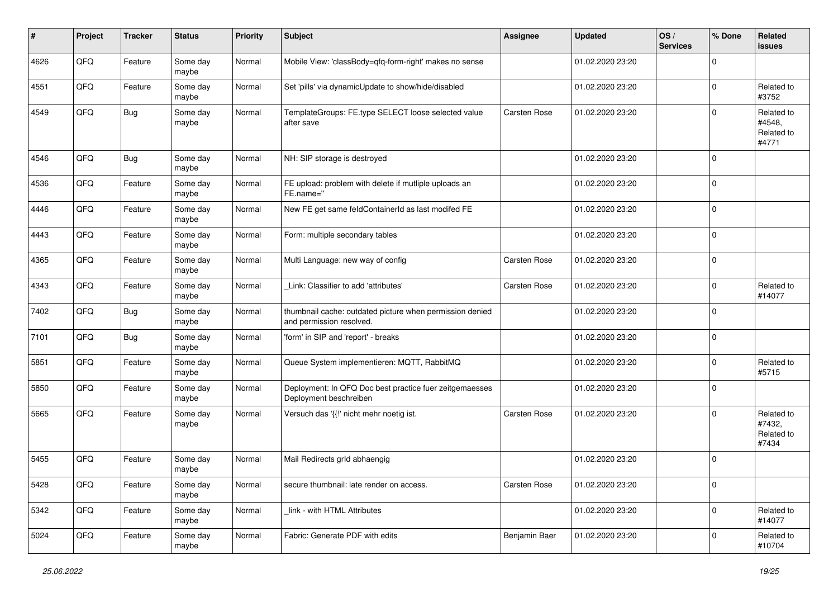| #    | Project | <b>Tracker</b> | <b>Status</b>     | <b>Priority</b> | <b>Subject</b>                                                                       | Assignee            | <b>Updated</b>   | OS/<br><b>Services</b> | % Done         | Related<br><b>issues</b>                    |
|------|---------|----------------|-------------------|-----------------|--------------------------------------------------------------------------------------|---------------------|------------------|------------------------|----------------|---------------------------------------------|
| 4626 | QFQ     | Feature        | Some day<br>maybe | Normal          | Mobile View: 'classBody=qfq-form-right' makes no sense                               |                     | 01.02.2020 23:20 |                        | $\mathbf 0$    |                                             |
| 4551 | QFQ     | Feature        | Some day<br>maybe | Normal          | Set 'pills' via dynamicUpdate to show/hide/disabled                                  |                     | 01.02.2020 23:20 |                        | $\mathbf 0$    | Related to<br>#3752                         |
| 4549 | QFQ     | <b>Bug</b>     | Some day<br>maybe | Normal          | TemplateGroups: FE.type SELECT loose selected value<br>after save                    | <b>Carsten Rose</b> | 01.02.2020 23:20 |                        | $\mathbf 0$    | Related to<br>#4548,<br>Related to<br>#4771 |
| 4546 | QFQ     | <b>Bug</b>     | Some day<br>maybe | Normal          | NH: SIP storage is destroyed                                                         |                     | 01.02.2020 23:20 |                        | $\mathbf 0$    |                                             |
| 4536 | QFQ     | Feature        | Some day<br>maybe | Normal          | FE upload: problem with delete if mutliple uploads an<br>FE.name="                   |                     | 01.02.2020 23:20 |                        | 0              |                                             |
| 4446 | QFQ     | Feature        | Some day<br>maybe | Normal          | New FE get same feldContainerId as last modifed FE                                   |                     | 01.02.2020 23:20 |                        | $\mathbf 0$    |                                             |
| 4443 | QFQ     | Feature        | Some day<br>maybe | Normal          | Form: multiple secondary tables                                                      |                     | 01.02.2020 23:20 |                        | $\mathbf 0$    |                                             |
| 4365 | QFQ     | Feature        | Some day<br>maybe | Normal          | Multi Language: new way of config                                                    | <b>Carsten Rose</b> | 01.02.2020 23:20 |                        | $\mathbf 0$    |                                             |
| 4343 | QFQ     | Feature        | Some day<br>maybe | Normal          | Link: Classifier to add 'attributes'                                                 | <b>Carsten Rose</b> | 01.02.2020 23:20 |                        | $\mathbf 0$    | Related to<br>#14077                        |
| 7402 | QFQ     | Bug            | Some day<br>maybe | Normal          | thumbnail cache: outdated picture when permission denied<br>and permission resolved. |                     | 01.02.2020 23:20 |                        | $\mathbf 0$    |                                             |
| 7101 | QFQ     | <b>Bug</b>     | Some day<br>maybe | Normal          | 'form' in SIP and 'report' - breaks                                                  |                     | 01.02.2020 23:20 |                        | $\mathbf 0$    |                                             |
| 5851 | QFQ     | Feature        | Some day<br>maybe | Normal          | Queue System implementieren: MQTT, RabbitMQ                                          |                     | 01.02.2020 23:20 |                        | $\mathbf 0$    | Related to<br>#5715                         |
| 5850 | QFQ     | Feature        | Some day<br>maybe | Normal          | Deployment: In QFQ Doc best practice fuer zeitgemaesses<br>Deployment beschreiben    |                     | 01.02.2020 23:20 |                        | $\mathbf 0$    |                                             |
| 5665 | QFQ     | Feature        | Some day<br>maybe | Normal          | Versuch das '{{!' nicht mehr noetig ist.                                             | <b>Carsten Rose</b> | 01.02.2020 23:20 |                        | $\mathbf 0$    | Related to<br>#7432,<br>Related to<br>#7434 |
| 5455 | QFQ     | Feature        | Some day<br>maybe | Normal          | Mail Redirects grld abhaengig                                                        |                     | 01.02.2020 23:20 |                        | $\mathbf 0$    |                                             |
| 5428 | QFQ     | Feature        | Some day<br>maybe | Normal          | secure thumbnail: late render on access.                                             | Carsten Rose        | 01.02.2020 23:20 |                        | $\overline{0}$ |                                             |
| 5342 | QFQ     | Feature        | Some day<br>maybe | Normal          | link - with HTML Attributes                                                          |                     | 01.02.2020 23:20 |                        | $\mathbf 0$    | Related to<br>#14077                        |
| 5024 | QFQ     | Feature        | Some day<br>maybe | Normal          | Fabric: Generate PDF with edits                                                      | Benjamin Baer       | 01.02.2020 23:20 |                        | $\mathbf 0$    | Related to<br>#10704                        |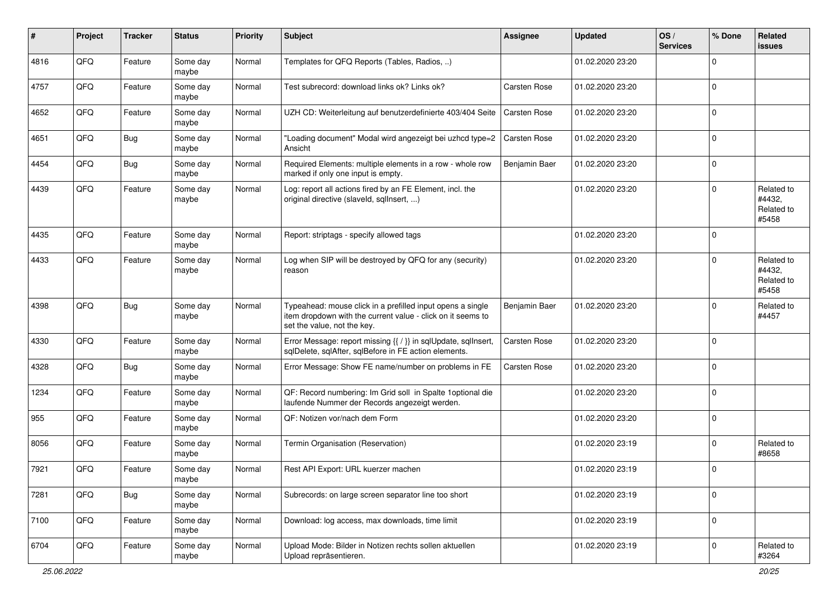| $\sharp$ | Project | <b>Tracker</b> | <b>Status</b>     | <b>Priority</b> | <b>Subject</b>                                                                                                                                           | <b>Assignee</b>     | <b>Updated</b>   | OS/<br><b>Services</b> | % Done      | Related<br>issues                           |
|----------|---------|----------------|-------------------|-----------------|----------------------------------------------------------------------------------------------------------------------------------------------------------|---------------------|------------------|------------------------|-------------|---------------------------------------------|
| 4816     | QFQ     | Feature        | Some day<br>maybe | Normal          | Templates for QFQ Reports (Tables, Radios, )                                                                                                             |                     | 01.02.2020 23:20 |                        | $\Omega$    |                                             |
| 4757     | QFQ     | Feature        | Some day<br>maybe | Normal          | Test subrecord: download links ok? Links ok?                                                                                                             | <b>Carsten Rose</b> | 01.02.2020 23:20 |                        | $\mathbf 0$ |                                             |
| 4652     | QFQ     | Feature        | Some day<br>maybe | Normal          | UZH CD: Weiterleitung auf benutzerdefinierte 403/404 Seite                                                                                               | Carsten Rose        | 01.02.2020 23:20 |                        | $\mathbf 0$ |                                             |
| 4651     | QFQ     | <b>Bug</b>     | Some day<br>maybe | Normal          | "Loading document" Modal wird angezeigt bei uzhcd type=2<br>Ansicht                                                                                      | <b>Carsten Rose</b> | 01.02.2020 23:20 |                        | $\mathbf 0$ |                                             |
| 4454     | QFQ     | <b>Bug</b>     | Some day<br>maybe | Normal          | Required Elements: multiple elements in a row - whole row<br>marked if only one input is empty.                                                          | Benjamin Baer       | 01.02.2020 23:20 |                        | $\mathbf 0$ |                                             |
| 4439     | QFQ     | Feature        | Some day<br>maybe | Normal          | Log: report all actions fired by an FE Element, incl. the<br>original directive (slaveld, sqllnsert, )                                                   |                     | 01.02.2020 23:20 |                        | $\mathbf 0$ | Related to<br>#4432,<br>Related to<br>#5458 |
| 4435     | QFQ     | Feature        | Some day<br>maybe | Normal          | Report: striptags - specify allowed tags                                                                                                                 |                     | 01.02.2020 23:20 |                        | $\Omega$    |                                             |
| 4433     | QFQ     | Feature        | Some day<br>maybe | Normal          | Log when SIP will be destroyed by QFQ for any (security)<br>reason                                                                                       |                     | 01.02.2020 23:20 |                        | $\mathbf 0$ | Related to<br>#4432,<br>Related to<br>#5458 |
| 4398     | QFQ     | <b>Bug</b>     | Some day<br>maybe | Normal          | Typeahead: mouse click in a prefilled input opens a single<br>item dropdown with the current value - click on it seems to<br>set the value, not the key. | Benjamin Baer       | 01.02.2020 23:20 |                        | $\Omega$    | Related to<br>#4457                         |
| 4330     | QFQ     | Feature        | Some day<br>maybe | Normal          | Error Message: report missing {{ / }} in sqlUpdate, sqlInsert,<br>sqlDelete, sqlAfter, sqlBefore in FE action elements.                                  | Carsten Rose        | 01.02.2020 23:20 |                        | $\Omega$    |                                             |
| 4328     | QFQ     | <b>Bug</b>     | Some day<br>maybe | Normal          | Error Message: Show FE name/number on problems in FE                                                                                                     | <b>Carsten Rose</b> | 01.02.2020 23:20 |                        | $\Omega$    |                                             |
| 1234     | QFQ     | Feature        | Some day<br>maybe | Normal          | QF: Record numbering: Im Grid soll in Spalte 1 optional die<br>laufende Nummer der Records angezeigt werden.                                             |                     | 01.02.2020 23:20 |                        | $\Omega$    |                                             |
| 955      | QFQ     | Feature        | Some day<br>maybe | Normal          | QF: Notizen vor/nach dem Form                                                                                                                            |                     | 01.02.2020 23:20 |                        | $\mathbf 0$ |                                             |
| 8056     | QFQ     | Feature        | Some day<br>maybe | Normal          | Termin Organisation (Reservation)                                                                                                                        |                     | 01.02.2020 23:19 |                        | $\Omega$    | Related to<br>#8658                         |
| 7921     | QFQ     | Feature        | Some day<br>maybe | Normal          | Rest API Export: URL kuerzer machen                                                                                                                      |                     | 01.02.2020 23:19 |                        | $\mathbf 0$ |                                             |
| 7281     | QFQ     | Bug            | Some day<br>maybe | Normal          | Subrecords: on large screen separator line too short                                                                                                     |                     | 01.02.2020 23:19 |                        | 0           |                                             |
| 7100     | QFQ     | Feature        | Some day<br>maybe | Normal          | Download: log access, max downloads, time limit                                                                                                          |                     | 01.02.2020 23:19 |                        | 0           |                                             |
| 6704     | QFQ     | Feature        | Some day<br>maybe | Normal          | Upload Mode: Bilder in Notizen rechts sollen aktuellen<br>Upload repräsentieren.                                                                         |                     | 01.02.2020 23:19 |                        | 0           | Related to<br>#3264                         |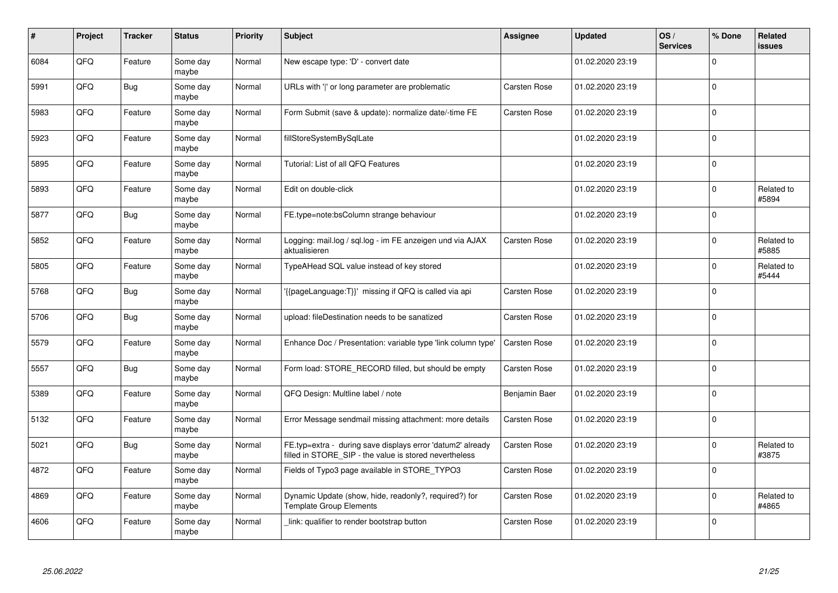| #    | Project | <b>Tracker</b> | <b>Status</b>     | Priority | <b>Subject</b>                                                                                                       | Assignee            | <b>Updated</b>   | OS/<br><b>Services</b> | % Done      | Related<br><b>issues</b> |
|------|---------|----------------|-------------------|----------|----------------------------------------------------------------------------------------------------------------------|---------------------|------------------|------------------------|-------------|--------------------------|
| 6084 | QFQ     | Feature        | Some day<br>maybe | Normal   | New escape type: 'D' - convert date                                                                                  |                     | 01.02.2020 23:19 |                        | $\Omega$    |                          |
| 5991 | QFQ     | <b>Bug</b>     | Some day<br>maybe | Normal   | URLs with ' ' or long parameter are problematic                                                                      | Carsten Rose        | 01.02.2020 23:19 |                        | $\mathbf 0$ |                          |
| 5983 | QFQ     | Feature        | Some day<br>maybe | Normal   | Form Submit (save & update): normalize date/-time FE                                                                 | Carsten Rose        | 01.02.2020 23:19 |                        | $\Omega$    |                          |
| 5923 | QFQ     | Feature        | Some day<br>maybe | Normal   | fillStoreSystemBySqlLate                                                                                             |                     | 01.02.2020 23:19 |                        | $\mathbf 0$ |                          |
| 5895 | QFQ     | Feature        | Some day<br>maybe | Normal   | Tutorial: List of all QFQ Features                                                                                   |                     | 01.02.2020 23:19 |                        | $\mathbf 0$ |                          |
| 5893 | QFQ     | Feature        | Some day<br>maybe | Normal   | Edit on double-click                                                                                                 |                     | 01.02.2020 23:19 |                        | $\mathbf 0$ | Related to<br>#5894      |
| 5877 | QFQ     | Bug            | Some dav<br>maybe | Normal   | FE.type=note:bsColumn strange behaviour                                                                              |                     | 01.02.2020 23:19 |                        | $\Omega$    |                          |
| 5852 | QFQ     | Feature        | Some day<br>maybe | Normal   | Logging: mail.log / sql.log - im FE anzeigen und via AJAX<br>aktualisieren                                           | Carsten Rose        | 01.02.2020 23:19 |                        | $\mathbf 0$ | Related to<br>#5885      |
| 5805 | QFQ     | Feature        | Some day<br>maybe | Normal   | TypeAHead SQL value instead of key stored                                                                            |                     | 01.02.2020 23:19 |                        | $\Omega$    | Related to<br>#5444      |
| 5768 | QFQ     | Bug            | Some dav<br>maybe | Normal   | {{pageLanguage:T}}' missing if QFQ is called via api                                                                 | <b>Carsten Rose</b> | 01.02.2020 23:19 |                        | $\mathbf 0$ |                          |
| 5706 | QFQ     | <b>Bug</b>     | Some day<br>maybe | Normal   | upload: fileDestination needs to be sanatized                                                                        | Carsten Rose        | 01.02.2020 23:19 |                        | $\mathbf 0$ |                          |
| 5579 | QFQ     | Feature        | Some day<br>maybe | Normal   | Enhance Doc / Presentation: variable type 'link column type'                                                         | Carsten Rose        | 01.02.2020 23:19 |                        | $\pmb{0}$   |                          |
| 5557 | QFQ     | Bug            | Some day<br>maybe | Normal   | Form load: STORE RECORD filled, but should be empty                                                                  | Carsten Rose        | 01.02.2020 23:19 |                        | $\Omega$    |                          |
| 5389 | QFQ     | Feature        | Some day<br>maybe | Normal   | QFQ Design: Multline label / note                                                                                    | Benjamin Baer       | 01.02.2020 23:19 |                        | $\pmb{0}$   |                          |
| 5132 | QFQ     | Feature        | Some day<br>maybe | Normal   | Error Message sendmail missing attachment: more details                                                              | Carsten Rose        | 01.02.2020 23:19 |                        | $\Omega$    |                          |
| 5021 | QFQ     | Bug            | Some day<br>maybe | Normal   | FE.typ=extra - during save displays error 'datum2' already<br>filled in STORE_SIP - the value is stored nevertheless | Carsten Rose        | 01.02.2020 23:19 |                        | $\Omega$    | Related to<br>#3875      |
| 4872 | QFQ     | Feature        | Some day<br>maybe | Normal   | Fields of Typo3 page available in STORE TYPO3                                                                        | Carsten Rose        | 01.02.2020 23:19 |                        | $\Omega$    |                          |
| 4869 | QFQ     | Feature        | Some day<br>maybe | Normal   | Dynamic Update (show, hide, readonly?, required?) for<br><b>Template Group Elements</b>                              | Carsten Rose        | 01.02.2020 23:19 |                        | $\pmb{0}$   | Related to<br>#4865      |
| 4606 | QFQ     | Feature        | Some day<br>maybe | Normal   | link: qualifier to render bootstrap button                                                                           | Carsten Rose        | 01.02.2020 23:19 |                        | $\Omega$    |                          |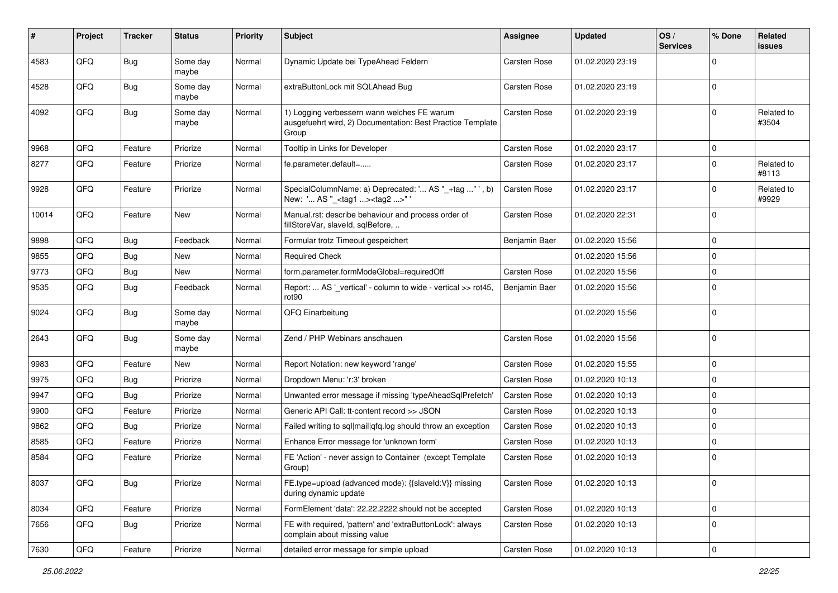| ∦     | Project | <b>Tracker</b> | <b>Status</b>     | <b>Priority</b> | <b>Subject</b>                                                                                                     | <b>Assignee</b>     | <b>Updated</b>   | OS/<br><b>Services</b> | % Done      | Related<br>issues   |
|-------|---------|----------------|-------------------|-----------------|--------------------------------------------------------------------------------------------------------------------|---------------------|------------------|------------------------|-------------|---------------------|
| 4583  | QFQ     | <b>Bug</b>     | Some day<br>maybe | Normal          | Dynamic Update bei TypeAhead Feldern                                                                               | Carsten Rose        | 01.02.2020 23:19 |                        | $\Omega$    |                     |
| 4528  | QFQ     | Bug            | Some day<br>maybe | Normal          | extraButtonLock mit SQLAhead Bug                                                                                   | <b>Carsten Rose</b> | 01.02.2020 23:19 |                        | $\Omega$    |                     |
| 4092  | QFQ     | <b>Bug</b>     | Some day<br>maybe | Normal          | 1) Logging verbessern wann welches FE warum<br>ausgefuehrt wird, 2) Documentation: Best Practice Template<br>Group | Carsten Rose        | 01.02.2020 23:19 |                        | $\Omega$    | Related to<br>#3504 |
| 9968  | QFQ     | Feature        | Priorize          | Normal          | Tooltip in Links for Developer                                                                                     | Carsten Rose        | 01.02.2020 23:17 |                        | $\Omega$    |                     |
| 8277  | QFQ     | Feature        | Priorize          | Normal          | fe.parameter.default=                                                                                              | Carsten Rose        | 01.02.2020 23:17 |                        | $\Omega$    | Related to<br>#8113 |
| 9928  | QFQ     | Feature        | Priorize          | Normal          | SpecialColumnName: a) Deprecated: ' AS "_+tag " ', b)<br>New: ' AS "_ <tag1><tag2>"'</tag2></tag1>                 | Carsten Rose        | 01.02.2020 23:17 |                        | $\mathbf 0$ | Related to<br>#9929 |
| 10014 | QFQ     | Feature        | New               | Normal          | Manual.rst: describe behaviour and process order of<br>fillStoreVar, slaveId, sqlBefore,                           | Carsten Rose        | 01.02.2020 22:31 |                        | $\Omega$    |                     |
| 9898  | QFQ     | <b>Bug</b>     | Feedback          | Normal          | Formular trotz Timeout gespeichert                                                                                 | Benjamin Baer       | 01.02.2020 15:56 |                        | $\mathbf 0$ |                     |
| 9855  | QFQ     | Bug            | New               | Normal          | <b>Required Check</b>                                                                                              |                     | 01.02.2020 15:56 |                        | $\Omega$    |                     |
| 9773  | QFQ     | Bug            | <b>New</b>        | Normal          | form.parameter.formModeGlobal=requiredOff                                                                          | Carsten Rose        | 01.02.2020 15:56 |                        | $\Omega$    |                     |
| 9535  | QFQ     | <b>Bug</b>     | Feedback          | Normal          | Report:  AS '_vertical' - column to wide - vertical >> rot45,<br>rot90                                             | Benjamin Baer       | 01.02.2020 15:56 |                        | $\mathbf 0$ |                     |
| 9024  | QFQ     | <b>Bug</b>     | Some day<br>maybe | Normal          | QFQ Einarbeitung                                                                                                   |                     | 01.02.2020 15:56 |                        | $\Omega$    |                     |
| 2643  | QFQ     | Bug            | Some day<br>maybe | Normal          | Zend / PHP Webinars anschauen                                                                                      | Carsten Rose        | 01.02.2020 15:56 |                        | $\mathbf 0$ |                     |
| 9983  | QFQ     | Feature        | New               | Normal          | Report Notation: new keyword 'range'                                                                               | Carsten Rose        | 01.02.2020 15:55 |                        | $\Omega$    |                     |
| 9975  | QFQ     | <b>Bug</b>     | Priorize          | Normal          | Dropdown Menu: 'r:3' broken                                                                                        | <b>Carsten Rose</b> | 01.02.2020 10:13 |                        | $\Omega$    |                     |
| 9947  | QFQ     | <b>Bug</b>     | Priorize          | Normal          | Unwanted error message if missing 'typeAheadSqlPrefetch'                                                           | <b>Carsten Rose</b> | 01.02.2020 10:13 |                        | $\Omega$    |                     |
| 9900  | QFQ     | Feature        | Priorize          | Normal          | Generic API Call: tt-content record >> JSON                                                                        | Carsten Rose        | 01.02.2020 10:13 |                        | $\Omega$    |                     |
| 9862  | QFQ     | <b>Bug</b>     | Priorize          | Normal          | Failed writing to sql mail qfq.log should throw an exception                                                       | <b>Carsten Rose</b> | 01.02.2020 10:13 |                        | $\Omega$    |                     |
| 8585  | QFQ     | Feature        | Priorize          | Normal          | Enhance Error message for 'unknown form'                                                                           | <b>Carsten Rose</b> | 01.02.2020 10:13 |                        | 0           |                     |
| 8584  | QFQ     | Feature        | Priorize          | Normal          | FE 'Action' - never assign to Container (except Template<br>Group)                                                 | <b>Carsten Rose</b> | 01.02.2020 10:13 |                        | $\mathbf 0$ |                     |
| 8037  | QFQ     | <b>Bug</b>     | Priorize          | Normal          | FE.type=upload (advanced mode): {{slaveId:V}} missing<br>during dynamic update                                     | Carsten Rose        | 01.02.2020 10:13 |                        | $\pmb{0}$   |                     |
| 8034  | QFQ     | Feature        | Priorize          | Normal          | FormElement 'data': 22.22.2222 should not be accepted                                                              | Carsten Rose        | 01.02.2020 10:13 |                        | 0           |                     |
| 7656  | QFQ     | Bug            | Priorize          | Normal          | FE with required, 'pattern' and 'extraButtonLock': always<br>complain about missing value                          | Carsten Rose        | 01.02.2020 10:13 |                        | $\mathbf 0$ |                     |
| 7630  | QFQ     | Feature        | Priorize          | Normal          | detailed error message for simple upload                                                                           | Carsten Rose        | 01.02.2020 10:13 |                        | $\pmb{0}$   |                     |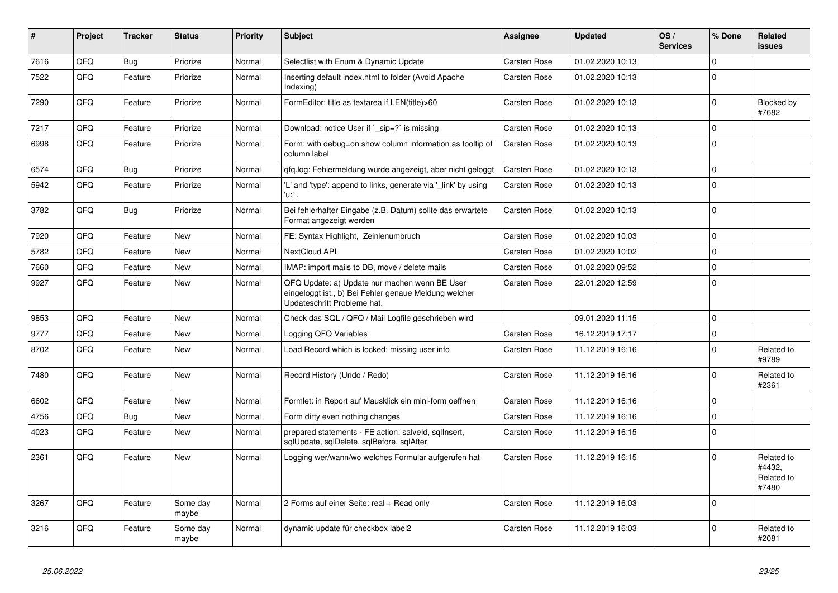| #    | Project | <b>Tracker</b> | <b>Status</b>     | <b>Priority</b> | <b>Subject</b>                                                                                                                        | Assignee            | <b>Updated</b>   | OS/<br><b>Services</b> | % Done      | Related<br>issues                           |
|------|---------|----------------|-------------------|-----------------|---------------------------------------------------------------------------------------------------------------------------------------|---------------------|------------------|------------------------|-------------|---------------------------------------------|
| 7616 | QFQ     | <b>Bug</b>     | Priorize          | Normal          | Selectlist with Enum & Dynamic Update                                                                                                 | <b>Carsten Rose</b> | 01.02.2020 10:13 |                        | $\Omega$    |                                             |
| 7522 | QFQ     | Feature        | Priorize          | Normal          | Inserting default index.html to folder (Avoid Apache<br>Indexing)                                                                     | Carsten Rose        | 01.02.2020 10:13 |                        | $\mathbf 0$ |                                             |
| 7290 | QFQ     | Feature        | Priorize          | Normal          | FormEditor: title as textarea if LEN(title)>60                                                                                        | <b>Carsten Rose</b> | 01.02.2020 10:13 |                        | $\mathbf 0$ | Blocked by<br>#7682                         |
| 7217 | QFQ     | Feature        | Priorize          | Normal          | Download: notice User if `_sip=?` is missing                                                                                          | Carsten Rose        | 01.02.2020 10:13 |                        | 0           |                                             |
| 6998 | QFQ     | Feature        | Priorize          | Normal          | Form: with debug=on show column information as tooltip of<br>column label                                                             | Carsten Rose        | 01.02.2020 10:13 |                        | $\mathbf 0$ |                                             |
| 6574 | QFQ     | <b>Bug</b>     | Priorize          | Normal          | qfq.log: Fehlermeldung wurde angezeigt, aber nicht geloggt                                                                            | Carsten Rose        | 01.02.2020 10:13 |                        | 0           |                                             |
| 5942 | QFQ     | Feature        | Priorize          | Normal          | 'L' and 'type': append to links, generate via '_link' by using<br>'u.' .                                                              | Carsten Rose        | 01.02.2020 10:13 |                        | $\Omega$    |                                             |
| 3782 | QFQ     | <b>Bug</b>     | Priorize          | Normal          | Bei fehlerhafter Eingabe (z.B. Datum) sollte das erwartete<br>Format angezeigt werden                                                 | <b>Carsten Rose</b> | 01.02.2020 10:13 |                        | $\mathbf 0$ |                                             |
| 7920 | QFQ     | Feature        | <b>New</b>        | Normal          | FE: Syntax Highlight, Zeinlenumbruch                                                                                                  | Carsten Rose        | 01.02.2020 10:03 |                        | $\mathbf 0$ |                                             |
| 5782 | QFQ     | Feature        | <b>New</b>        | Normal          | NextCloud API                                                                                                                         | <b>Carsten Rose</b> | 01.02.2020 10:02 |                        | $\mathbf 0$ |                                             |
| 7660 | QFQ     | Feature        | <b>New</b>        | Normal          | IMAP: import mails to DB, move / delete mails                                                                                         | <b>Carsten Rose</b> | 01.02.2020 09:52 |                        | $\mathbf 0$ |                                             |
| 9927 | QFQ     | Feature        | <b>New</b>        | Normal          | QFQ Update: a) Update nur machen wenn BE User<br>eingeloggt ist., b) Bei Fehler genaue Meldung welcher<br>Updateschritt Probleme hat. | <b>Carsten Rose</b> | 22.01.2020 12:59 |                        | $\mathbf 0$ |                                             |
| 9853 | QFQ     | Feature        | New               | Normal          | Check das SQL / QFQ / Mail Logfile geschrieben wird                                                                                   |                     | 09.01.2020 11:15 |                        | $\mathbf 0$ |                                             |
| 9777 | QFQ     | Feature        | <b>New</b>        | Normal          | Logging QFQ Variables                                                                                                                 | Carsten Rose        | 16.12.2019 17:17 |                        | $\pmb{0}$   |                                             |
| 8702 | QFQ     | Feature        | New               | Normal          | Load Record which is locked: missing user info                                                                                        | Carsten Rose        | 11.12.2019 16:16 |                        | $\mathbf 0$ | Related to<br>#9789                         |
| 7480 | QFQ     | Feature        | <b>New</b>        | Normal          | Record History (Undo / Redo)                                                                                                          | <b>Carsten Rose</b> | 11.12.2019 16:16 |                        | $\mathbf 0$ | Related to<br>#2361                         |
| 6602 | QFQ     | Feature        | <b>New</b>        | Normal          | Formlet: in Report auf Mausklick ein mini-form oeffnen                                                                                | <b>Carsten Rose</b> | 11.12.2019 16:16 |                        | $\mathbf 0$ |                                             |
| 4756 | QFQ     | <b>Bug</b>     | <b>New</b>        | Normal          | Form dirty even nothing changes                                                                                                       | <b>Carsten Rose</b> | 11.12.2019 16:16 |                        | $\pmb{0}$   |                                             |
| 4023 | QFQ     | Feature        | <b>New</b>        | Normal          | prepared statements - FE action: salveld, sgllnsert,<br>sqlUpdate, sqlDelete, sqlBefore, sqlAfter                                     | <b>Carsten Rose</b> | 11.12.2019 16:15 |                        | $\mathbf 0$ |                                             |
| 2361 | QFQ     | Feature        | <b>New</b>        | Normal          | Logging wer/wann/wo welches Formular aufgerufen hat                                                                                   | <b>Carsten Rose</b> | 11.12.2019 16:15 |                        | $\Omega$    | Related to<br>#4432.<br>Related to<br>#7480 |
| 3267 | QFQ     | Feature        | Some day<br>maybe | Normal          | 2 Forms auf einer Seite: real + Read only                                                                                             | Carsten Rose        | 11.12.2019 16:03 |                        | $\mathbf 0$ |                                             |
| 3216 | QFQ     | Feature        | Some day<br>maybe | Normal          | dynamic update für checkbox label2                                                                                                    | <b>Carsten Rose</b> | 11.12.2019 16:03 |                        | $\mathbf 0$ | Related to<br>#2081                         |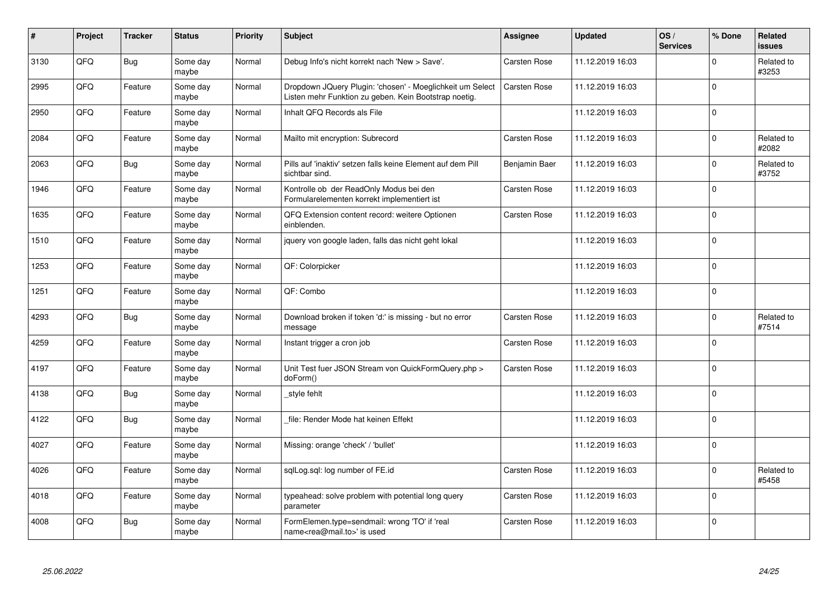| #    | Project | <b>Tracker</b> | <b>Status</b>     | <b>Priority</b> | <b>Subject</b>                                                                                                     | <b>Assignee</b>     | <b>Updated</b>   | OS/<br><b>Services</b> | % Done         | <b>Related</b><br><b>issues</b> |
|------|---------|----------------|-------------------|-----------------|--------------------------------------------------------------------------------------------------------------------|---------------------|------------------|------------------------|----------------|---------------------------------|
| 3130 | QFQ     | Bug            | Some day<br>maybe | Normal          | Debug Info's nicht korrekt nach 'New > Save'.                                                                      | <b>Carsten Rose</b> | 11.12.2019 16:03 |                        | $\Omega$       | Related to<br>#3253             |
| 2995 | QFQ     | Feature        | Some day<br>maybe | Normal          | Dropdown JQuery Plugin: 'chosen' - Moeglichkeit um Select<br>Listen mehr Funktion zu geben. Kein Bootstrap noetig. | Carsten Rose        | 11.12.2019 16:03 |                        | $\Omega$       |                                 |
| 2950 | QFQ     | Feature        | Some day<br>maybe | Normal          | Inhalt QFQ Records als File                                                                                        |                     | 11.12.2019 16:03 |                        | $\mathbf 0$    |                                 |
| 2084 | QFQ     | Feature        | Some day<br>maybe | Normal          | Mailto mit encryption: Subrecord                                                                                   | <b>Carsten Rose</b> | 11.12.2019 16:03 |                        | $\Omega$       | Related to<br>#2082             |
| 2063 | QFQ     | Bug            | Some day<br>maybe | Normal          | Pills auf 'inaktiv' setzen falls keine Element auf dem Pill<br>sichtbar sind.                                      | Benjamin Baer       | 11.12.2019 16:03 |                        | $\mathbf 0$    | Related to<br>#3752             |
| 1946 | QFQ     | Feature        | Some day<br>maybe | Normal          | Kontrolle ob der ReadOnly Modus bei den<br>Formularelementen korrekt implementiert ist                             | Carsten Rose        | 11.12.2019 16:03 |                        | $\overline{0}$ |                                 |
| 1635 | QFQ     | Feature        | Some day<br>maybe | Normal          | QFQ Extension content record: weitere Optionen<br>einblenden.                                                      | Carsten Rose        | 11.12.2019 16:03 |                        | $\Omega$       |                                 |
| 1510 | QFQ     | Feature        | Some day<br>maybe | Normal          | jquery von google laden, falls das nicht geht lokal                                                                |                     | 11.12.2019 16:03 |                        | 0              |                                 |
| 1253 | QFQ     | Feature        | Some day<br>maybe | Normal          | QF: Colorpicker                                                                                                    |                     | 11.12.2019 16:03 |                        | $\mathbf 0$    |                                 |
| 1251 | QFQ     | Feature        | Some day<br>maybe | Normal          | QF: Combo                                                                                                          |                     | 11.12.2019 16:03 |                        | $\mathbf 0$    |                                 |
| 4293 | QFQ     | Bug            | Some day<br>maybe | Normal          | Download broken if token 'd:' is missing - but no error<br>message                                                 | Carsten Rose        | 11.12.2019 16:03 |                        | $\mathbf 0$    | Related to<br>#7514             |
| 4259 | QFQ     | Feature        | Some day<br>maybe | Normal          | Instant trigger a cron job                                                                                         | <b>Carsten Rose</b> | 11.12.2019 16:03 |                        | 0              |                                 |
| 4197 | QFQ     | Feature        | Some day<br>maybe | Normal          | Unit Test fuer JSON Stream von QuickFormQuery.php ><br>doForm()                                                    | Carsten Rose        | 11.12.2019 16:03 |                        | $\mathbf 0$    |                                 |
| 4138 | QFQ     | <b>Bug</b>     | Some day<br>maybe | Normal          | _style fehlt                                                                                                       |                     | 11.12.2019 16:03 |                        | $\Omega$       |                                 |
| 4122 | QFQ     | Bug            | Some day<br>maybe | Normal          | file: Render Mode hat keinen Effekt                                                                                |                     | 11.12.2019 16:03 |                        | $\Omega$       |                                 |
| 4027 | QFQ     | Feature        | Some day<br>maybe | Normal          | Missing: orange 'check' / 'bullet'                                                                                 |                     | 11.12.2019 16:03 |                        | $\Omega$       |                                 |
| 4026 | QFQ     | Feature        | Some day<br>maybe | Normal          | sqlLog.sql: log number of FE.id                                                                                    | Carsten Rose        | 11.12.2019 16:03 |                        | $\mathbf 0$    | Related to<br>#5458             |
| 4018 | QFQ     | Feature        | Some day<br>maybe | Normal          | typeahead: solve problem with potential long query<br>parameter                                                    | Carsten Rose        | 11.12.2019 16:03 |                        | $\Omega$       |                                 |
| 4008 | QFQ     | Bug            | Some day<br>maybe | Normal          | FormElemen.type=sendmail: wrong 'TO' if 'real<br>name <rea@mail.to>' is used</rea@mail.to>                         | <b>Carsten Rose</b> | 11.12.2019 16:03 |                        | 0              |                                 |